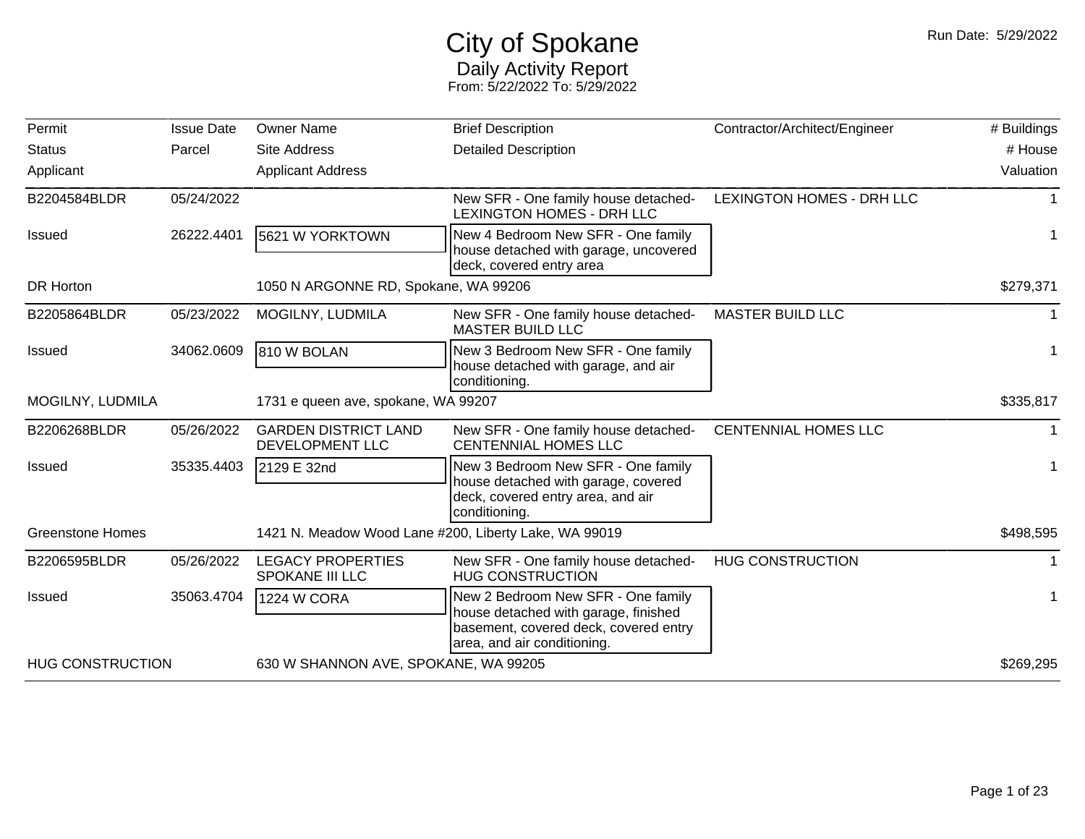## City of Spokane Daily Activity Report From: 5/22/2022 To: 5/29/2022

| Permit                  | <b>Issue Date</b> | <b>Owner Name</b>                                     | <b>Brief Description</b>                                                                                                                           | Contractor/Architect/Engineer | # Buildings |
|-------------------------|-------------------|-------------------------------------------------------|----------------------------------------------------------------------------------------------------------------------------------------------------|-------------------------------|-------------|
| <b>Status</b>           | Parcel            | <b>Site Address</b>                                   | <b>Detailed Description</b>                                                                                                                        |                               | # House     |
| Applicant               |                   | <b>Applicant Address</b>                              |                                                                                                                                                    |                               | Valuation   |
| B2204584BLDR            | 05/24/2022        |                                                       | New SFR - One family house detached-<br><b>LEXINGTON HOMES - DRH LLC</b>                                                                           | LEXINGTON HOMES - DRH LLC     |             |
| <b>Issued</b>           | 26222.4401        | 5621 W YORKTOWN                                       | New 4 Bedroom New SFR - One family<br>house detached with garage, uncovered<br>deck, covered entry area                                            |                               |             |
| <b>DR Horton</b>        |                   | 1050 N ARGONNE RD, Spokane, WA 99206                  |                                                                                                                                                    |                               | \$279,371   |
| B2205864BLDR            | 05/23/2022        | MOGILNY, LUDMILA                                      | New SFR - One family house detached-<br><b>MASTER BUILD LLC</b>                                                                                    | <b>MASTER BUILD LLC</b>       |             |
| <b>Issued</b>           | 34062.0609        | 810 W BOLAN                                           | New 3 Bedroom New SFR - One family<br>house detached with garage, and air<br>conditioning.                                                         |                               |             |
| MOGILNY, LUDMILA        |                   | 1731 e queen ave, spokane, WA 99207                   |                                                                                                                                                    |                               | \$335,817   |
| B2206268BLDR            | 05/26/2022        | <b>GARDEN DISTRICT LAND</b><br>DEVELOPMENT LLC        | New SFR - One family house detached-<br><b>CENTENNIAL HOMES LLC</b>                                                                                | <b>CENTENNIAL HOMES LLC</b>   | 1.          |
| <b>Issued</b>           | 35335.4403        | 2129 E 32nd                                           | New 3 Bedroom New SFR - One family<br>house detached with garage, covered<br>deck, covered entry area, and air<br>conditioning.                    |                               |             |
| <b>Greenstone Homes</b> |                   | 1421 N. Meadow Wood Lane #200, Liberty Lake, WA 99019 |                                                                                                                                                    |                               | \$498,595   |
| B2206595BLDR            | 05/26/2022        | <b>LEGACY PROPERTIES</b><br>SPOKANE III LLC           | New SFR - One family house detached-<br><b>HUG CONSTRUCTION</b>                                                                                    | <b>HUG CONSTRUCTION</b>       |             |
| <b>Issued</b>           | 35063.4704        | <b>1224 W CORA</b>                                    | New 2 Bedroom New SFR - One family<br>house detached with garage, finished<br>basement, covered deck, covered entry<br>area, and air conditioning. |                               |             |
| <b>HUG CONSTRUCTION</b> |                   | 630 W SHANNON AVE, SPOKANE, WA 99205                  |                                                                                                                                                    |                               | \$269,295   |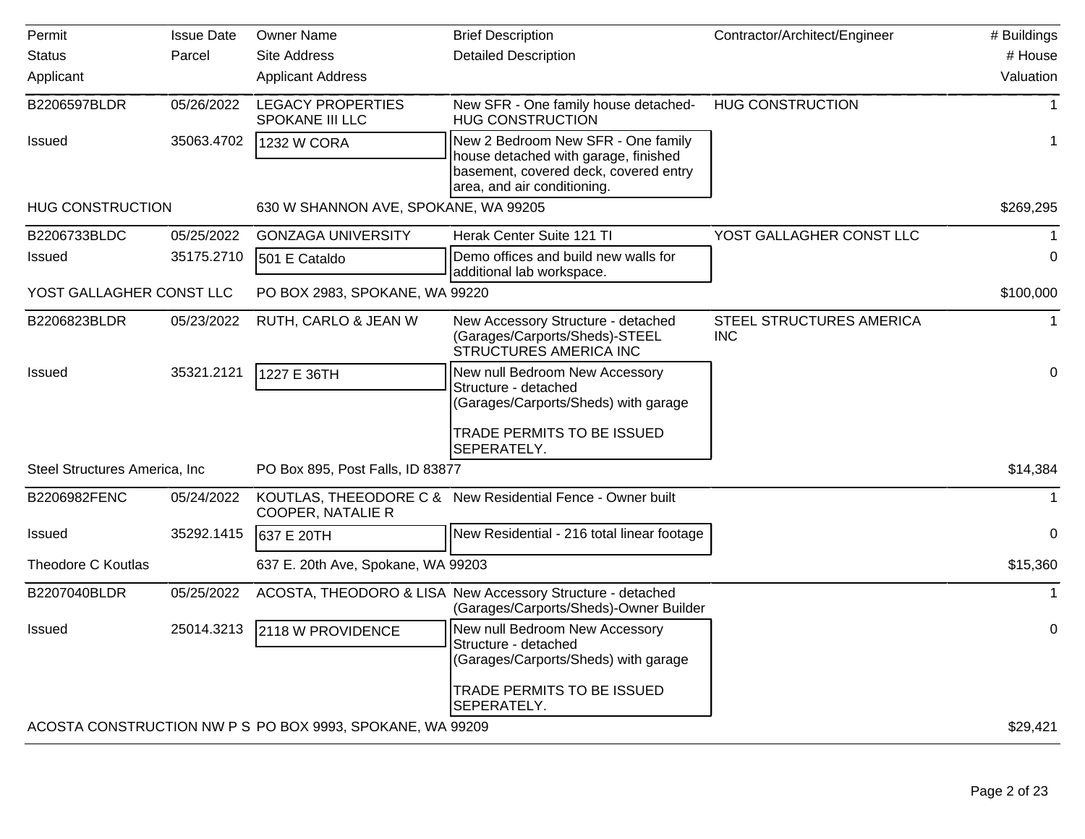| Permit                         | <b>Issue Date</b> | <b>Owner Name</b>                                         | <b>Brief Description</b>                                                                                                                           | Contractor/Architect/Engineer                 | # Buildings  |
|--------------------------------|-------------------|-----------------------------------------------------------|----------------------------------------------------------------------------------------------------------------------------------------------------|-----------------------------------------------|--------------|
| <b>Status</b>                  | Parcel            | <b>Site Address</b>                                       | <b>Detailed Description</b>                                                                                                                        |                                               | # House      |
| Applicant                      |                   | <b>Applicant Address</b>                                  |                                                                                                                                                    |                                               | Valuation    |
| B2206597BLDR                   | 05/26/2022        | <b>LEGACY PROPERTIES</b><br>SPOKANE III LLC               | New SFR - One family house detached-<br><b>HUG CONSTRUCTION</b>                                                                                    | <b>HUG CONSTRUCTION</b>                       | $\mathbf 1$  |
| Issued                         | 35063.4702        | <b>1232 W CORA</b>                                        | New 2 Bedroom New SFR - One family<br>house detached with garage, finished<br>basement, covered deck, covered entry<br>area, and air conditioning. |                                               | 1            |
| <b>HUG CONSTRUCTION</b>        |                   | 630 W SHANNON AVE, SPOKANE, WA 99205                      |                                                                                                                                                    |                                               | \$269,295    |
| B2206733BLDC                   | 05/25/2022        | <b>GONZAGA UNIVERSITY</b>                                 | Herak Center Suite 121 TI                                                                                                                          | YOST GALLAGHER CONST LLC                      |              |
| Issued                         | 35175.2710        | 501 E Cataldo                                             | Demo offices and build new walls for<br>additional lab workspace.                                                                                  |                                               | $\Omega$     |
| YOST GALLAGHER CONST LLC       |                   | PO BOX 2983, SPOKANE, WA 99220                            |                                                                                                                                                    |                                               | \$100,000    |
| B2206823BLDR                   | 05/23/2022        | RUTH, CARLO & JEAN W                                      | New Accessory Structure - detached<br>(Garages/Carports/Sheds)-STEEL<br>STRUCTURES AMERICA INC                                                     | <b>STEEL STRUCTURES AMERICA</b><br><b>INC</b> |              |
| Issued                         | 35321.2121        | 1227 E 36TH                                               | New null Bedroom New Accessory<br>Structure - detached<br>(Garages/Carports/Sheds) with garage<br>TRADE PERMITS TO BE ISSUED                       |                                               | $\pmb{0}$    |
| Steel Structures America, Inc. |                   | PO Box 895, Post Falls, ID 83877                          | SEPERATELY.                                                                                                                                        |                                               | \$14,384     |
| B2206982FENC                   | 05/24/2022        | <b>COOPER, NATALIE R</b>                                  | KOUTLAS, THEEODORE C & New Residential Fence - Owner built                                                                                         |                                               | $\mathbf{1}$ |
| Issued                         | 35292.1415        | 637 E 20TH                                                | New Residential - 216 total linear footage                                                                                                         |                                               | $\Omega$     |
| Theodore C Koutlas             |                   | 637 E. 20th Ave, Spokane, WA 99203                        |                                                                                                                                                    |                                               | \$15,360     |
| B2207040BLDR                   | 05/25/2022        |                                                           | ACOSTA, THEODORO & LISA New Accessory Structure - detached<br>(Garages/Carports/Sheds)-Owner Builder                                               |                                               | $\mathbf{1}$ |
| Issued                         | 25014.3213        | 2118 W PROVIDENCE                                         | New null Bedroom New Accessory<br>Structure - detached<br>(Garages/Carports/Sheds) with garage<br>TRADE PERMITS TO BE ISSUED                       |                                               | 0            |
|                                |                   |                                                           | SEPERATELY.                                                                                                                                        |                                               |              |
|                                |                   | ACOSTA CONSTRUCTION NW P S PO BOX 9993, SPOKANE, WA 99209 |                                                                                                                                                    |                                               | \$29,421     |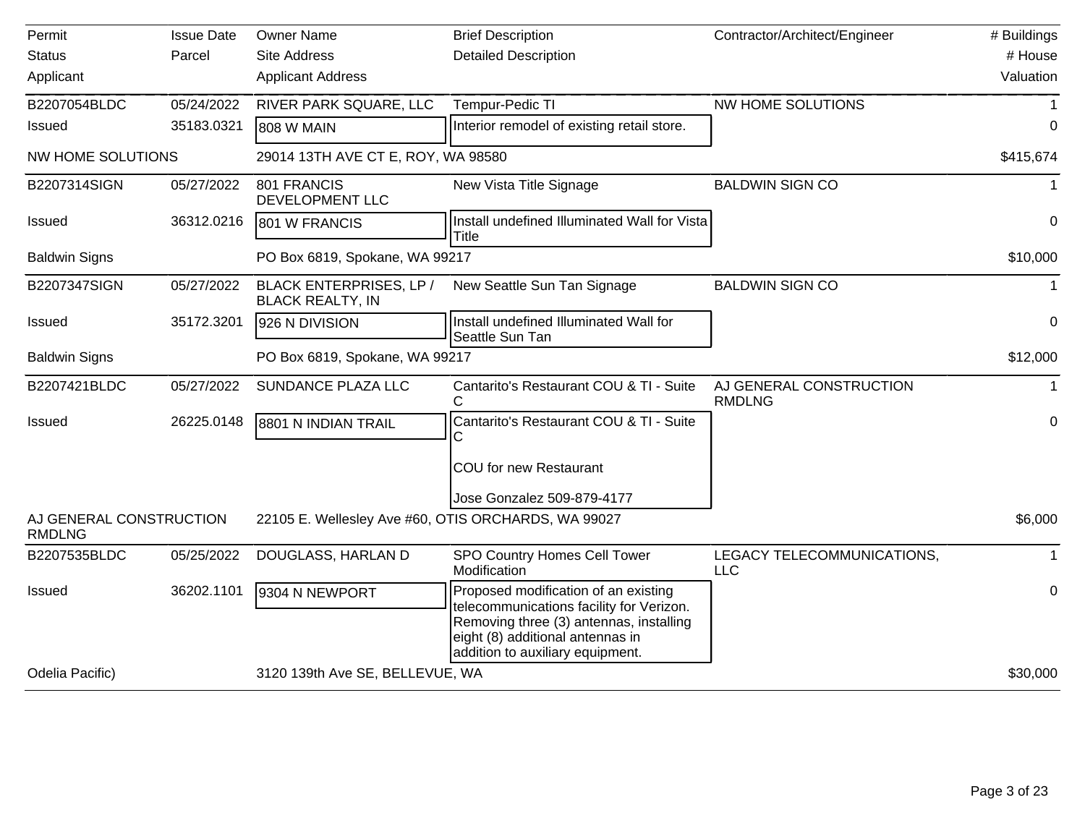| Permit                                   | <b>Issue Date</b> | <b>Owner Name</b>                                   | <b>Brief Description</b>                                                                                                                                                                            | Contractor/Architect/Engineer            | # Buildings |
|------------------------------------------|-------------------|-----------------------------------------------------|-----------------------------------------------------------------------------------------------------------------------------------------------------------------------------------------------------|------------------------------------------|-------------|
| <b>Status</b>                            | Parcel            | <b>Site Address</b>                                 | <b>Detailed Description</b>                                                                                                                                                                         |                                          | # House     |
| Applicant                                |                   | <b>Applicant Address</b>                            |                                                                                                                                                                                                     |                                          | Valuation   |
| B2207054BLDC                             | 05/24/2022        | RIVER PARK SQUARE, LLC                              | Tempur-Pedic TI                                                                                                                                                                                     | NW HOME SOLUTIONS                        |             |
| Issued                                   | 35183.0321        | 808 W MAIN                                          | Interior remodel of existing retail store.                                                                                                                                                          |                                          | 0           |
| <b>NW HOME SOLUTIONS</b>                 |                   | 29014 13TH AVE CT E, ROY, WA 98580                  |                                                                                                                                                                                                     |                                          | \$415,674   |
| B2207314SIGN                             | 05/27/2022        | 801 FRANCIS<br>DEVELOPMENT LLC                      | New Vista Title Signage                                                                                                                                                                             | <b>BALDWIN SIGN CO</b>                   | 1           |
| Issued                                   | 36312.0216        | 801 W FRANCIS                                       | Install undefined Illuminated Wall for Vista<br><b>Title</b>                                                                                                                                        |                                          | $\mathbf 0$ |
| <b>Baldwin Signs</b>                     |                   | PO Box 6819, Spokane, WA 99217                      |                                                                                                                                                                                                     |                                          | \$10,000    |
| B2207347SIGN                             | 05/27/2022        | BLACK ENTERPRISES, LP /<br><b>BLACK REALTY, IN</b>  | New Seattle Sun Tan Signage                                                                                                                                                                         | <b>BALDWIN SIGN CO</b>                   | $\mathbf 1$ |
| Issued                                   | 35172.3201        | 926 N DIVISION                                      | Install undefined Illuminated Wall for<br>Seattle Sun Tan                                                                                                                                           |                                          | $\mathbf 0$ |
| <b>Baldwin Signs</b>                     |                   | PO Box 6819, Spokane, WA 99217                      |                                                                                                                                                                                                     |                                          | \$12,000    |
| B2207421BLDC                             | 05/27/2022        | SUNDANCE PLAZA LLC                                  | Cantarito's Restaurant COU & TI - Suite<br>C                                                                                                                                                        | AJ GENERAL CONSTRUCTION<br><b>RMDLNG</b> |             |
| Issued                                   | 26225.0148        | 8801 N INDIAN TRAIL                                 | Cantarito's Restaurant COU & TI - Suite                                                                                                                                                             |                                          | 0           |
|                                          |                   |                                                     | COU for new Restaurant                                                                                                                                                                              |                                          |             |
|                                          |                   |                                                     | Jose Gonzalez 509-879-4177                                                                                                                                                                          |                                          |             |
| AJ GENERAL CONSTRUCTION<br><b>RMDLNG</b> |                   | 22105 E. Wellesley Ave #60, OTIS ORCHARDS, WA 99027 |                                                                                                                                                                                                     |                                          | \$6,000     |
| B2207535BLDC                             | 05/25/2022        | DOUGLASS, HARLAN D                                  | SPO Country Homes Cell Tower<br>Modification                                                                                                                                                        | LEGACY TELECOMMUNICATIONS,<br><b>LLC</b> |             |
| Issued                                   | 36202.1101        | 9304 N NEWPORT                                      | Proposed modification of an existing<br>telecommunications facility for Verizon.<br>Removing three (3) antennas, installing<br>eight (8) additional antennas in<br>addition to auxiliary equipment. |                                          | $\pmb{0}$   |
| Odelia Pacific)                          |                   | 3120 139th Ave SE, BELLEVUE, WA                     |                                                                                                                                                                                                     |                                          | \$30,000    |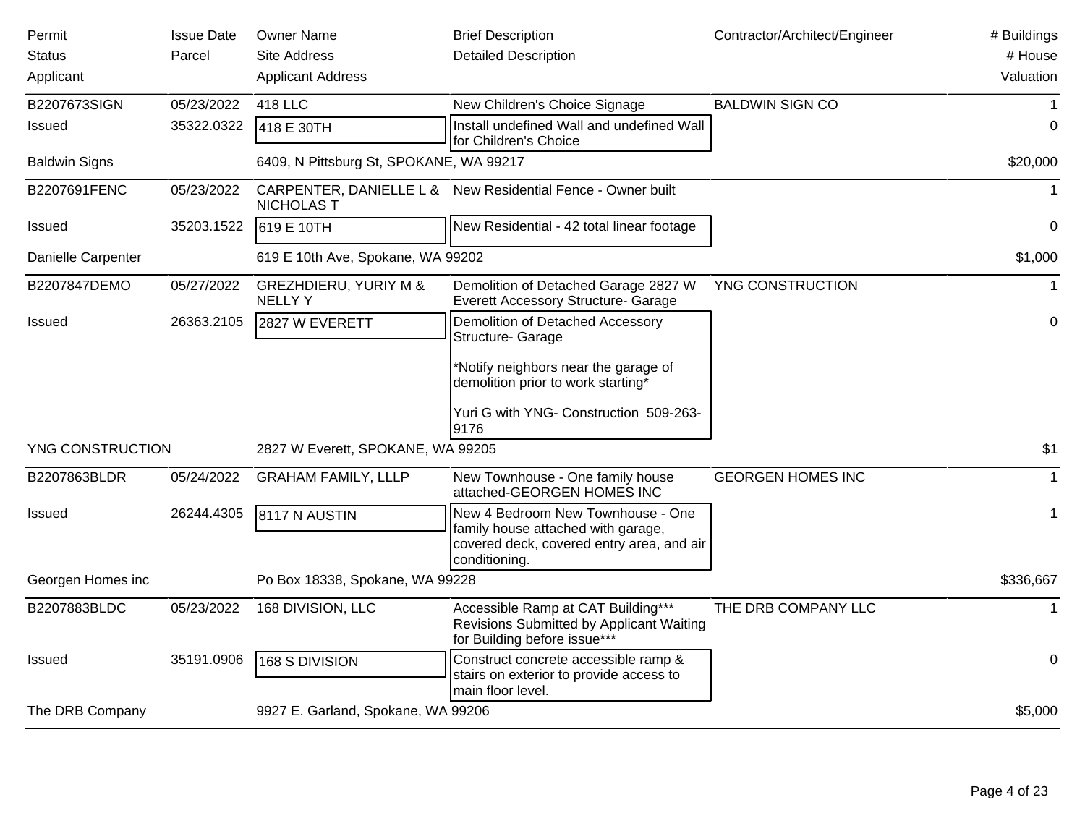| Permit               | <b>Issue Date</b> | <b>Owner Name</b>                                 | <b>Brief Description</b>                                                                                                              | Contractor/Architect/Engineer | # Buildings  |
|----------------------|-------------------|---------------------------------------------------|---------------------------------------------------------------------------------------------------------------------------------------|-------------------------------|--------------|
| <b>Status</b>        | Parcel            | <b>Site Address</b>                               | <b>Detailed Description</b>                                                                                                           |                               | # House      |
| Applicant            |                   | <b>Applicant Address</b>                          |                                                                                                                                       |                               | Valuation    |
| B2207673SIGN         | 05/23/2022        | 418 LLC                                           | New Children's Choice Signage                                                                                                         | <b>BALDWIN SIGN CO</b>        |              |
| Issued               | 35322.0322        | 418 E 30TH                                        | Install undefined Wall and undefined Wall<br>for Children's Choice                                                                    |                               | $\mathbf 0$  |
| <b>Baldwin Signs</b> |                   | 6409, N Pittsburg St, SPOKANE, WA 99217           |                                                                                                                                       |                               | \$20,000     |
| B2207691FENC         | 05/23/2022        | <b>NICHOLAS T</b>                                 | CARPENTER, DANIELLE L & New Residential Fence - Owner built                                                                           |                               | $\mathbf{1}$ |
| <b>Issued</b>        | 35203.1522        | 619 E 10TH                                        | New Residential - 42 total linear footage                                                                                             |                               | 0            |
| Danielle Carpenter   |                   | 619 E 10th Ave, Spokane, WA 99202                 |                                                                                                                                       |                               | \$1,000      |
| B2207847DEMO         | 05/27/2022        | <b>GREZHDIERU, YURIY M &amp;</b><br><b>NELLYY</b> | Demolition of Detached Garage 2827 W<br>Everett Accessory Structure- Garage                                                           | YNG CONSTRUCTION              | $\mathbf 1$  |
| <b>Issued</b>        | 26363.2105        | 2827 W EVERETT                                    | Demolition of Detached Accessory<br><b>Structure- Garage</b>                                                                          |                               | 0            |
|                      |                   |                                                   | Notify neighbors near the garage of<br>demolition prior to work starting*                                                             |                               |              |
|                      |                   |                                                   | Yuri G with YNG- Construction 509-263-<br>9176                                                                                        |                               |              |
| YNG CONSTRUCTION     |                   | 2827 W Everett, SPOKANE, WA 99205                 |                                                                                                                                       |                               | \$1          |
| B2207863BLDR         | 05/24/2022        | <b>GRAHAM FAMILY, LLLP</b>                        | New Townhouse - One family house<br>attached-GEORGEN HOMES INC                                                                        | <b>GEORGEN HOMES INC</b>      |              |
| <b>Issued</b>        | 26244.4305        | 8117 N AUSTIN                                     | New 4 Bedroom New Townhouse - One<br>family house attached with garage,<br>covered deck, covered entry area, and air<br>conditioning. |                               | 1            |
| Georgen Homes inc    |                   | Po Box 18338, Spokane, WA 99228                   |                                                                                                                                       |                               | \$336,667    |
| B2207883BLDC         | 05/23/2022        | 168 DIVISION, LLC                                 | Accessible Ramp at CAT Building***<br>Revisions Submitted by Applicant Waiting<br>for Building before issue***                        | THE DRB COMPANY LLC           |              |
| <b>Issued</b>        | 35191.0906        | 168 S DIVISION                                    | Construct concrete accessible ramp &<br>stairs on exterior to provide access to<br>main floor level.                                  |                               | $\pmb{0}$    |
| The DRB Company      |                   | 9927 E. Garland, Spokane, WA 99206                |                                                                                                                                       |                               | \$5,000      |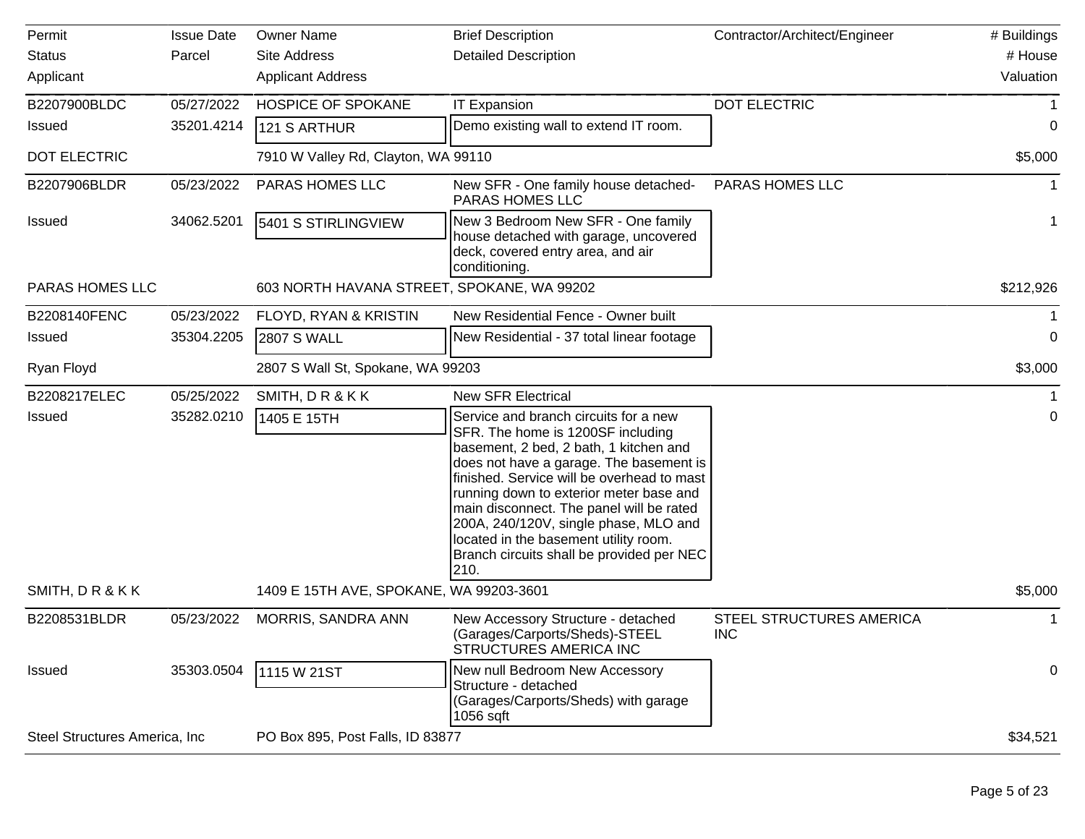| Permit                         | <b>Issue Date</b> | <b>Owner Name</b>                          | <b>Brief Description</b>                                                                                                                                                                                                                                                                                                                                                                                                                    | Contractor/Architect/Engineer                 | # Buildings |
|--------------------------------|-------------------|--------------------------------------------|---------------------------------------------------------------------------------------------------------------------------------------------------------------------------------------------------------------------------------------------------------------------------------------------------------------------------------------------------------------------------------------------------------------------------------------------|-----------------------------------------------|-------------|
| <b>Status</b>                  | Parcel            | <b>Site Address</b>                        | <b>Detailed Description</b>                                                                                                                                                                                                                                                                                                                                                                                                                 |                                               | # House     |
| Applicant                      |                   | <b>Applicant Address</b>                   |                                                                                                                                                                                                                                                                                                                                                                                                                                             |                                               | Valuation   |
| B2207900BLDC                   | 05/27/2022        | <b>HOSPICE OF SPOKANE</b>                  | <b>IT Expansion</b>                                                                                                                                                                                                                                                                                                                                                                                                                         | DOT ELECTRIC                                  |             |
| <b>Issued</b>                  | 35201.4214        | 121 S ARTHUR                               | Demo existing wall to extend IT room.                                                                                                                                                                                                                                                                                                                                                                                                       |                                               | 0           |
| <b>DOT ELECTRIC</b>            |                   | 7910 W Valley Rd, Clayton, WA 99110        |                                                                                                                                                                                                                                                                                                                                                                                                                                             |                                               | \$5,000     |
| B2207906BLDR                   | 05/23/2022        | PARAS HOMES LLC                            | New SFR - One family house detached-<br>PARAS HOMES LLC                                                                                                                                                                                                                                                                                                                                                                                     | PARAS HOMES LLC                               |             |
| <b>Issued</b>                  | 34062.5201        | 5401 S STIRLINGVIEW                        | New 3 Bedroom New SFR - One family<br>house detached with garage, uncovered<br>deck, covered entry area, and air<br>conditioning.                                                                                                                                                                                                                                                                                                           |                                               |             |
| PARAS HOMES LLC                |                   | 603 NORTH HAVANA STREET, SPOKANE, WA 99202 |                                                                                                                                                                                                                                                                                                                                                                                                                                             |                                               | \$212,926   |
| B2208140FENC                   | 05/23/2022        | FLOYD, RYAN & KRISTIN                      | New Residential Fence - Owner built                                                                                                                                                                                                                                                                                                                                                                                                         |                                               |             |
| <b>Issued</b>                  | 35304.2205        | <b>2807 S WALL</b>                         | New Residential - 37 total linear footage                                                                                                                                                                                                                                                                                                                                                                                                   |                                               | 0           |
| Ryan Floyd                     |                   | 2807 S Wall St, Spokane, WA 99203          |                                                                                                                                                                                                                                                                                                                                                                                                                                             |                                               | \$3,000     |
| B2208217ELEC                   | 05/25/2022        | SMITH, DR&KK                               | <b>New SFR Electrical</b>                                                                                                                                                                                                                                                                                                                                                                                                                   |                                               |             |
| <b>Issued</b>                  | 35282.0210        | 1405 E 15TH                                | Service and branch circuits for a new<br>SFR. The home is 1200SF including<br>basement, 2 bed, 2 bath, 1 kitchen and<br>does not have a garage. The basement is<br>finished. Service will be overhead to mast<br>running down to exterior meter base and<br>main disconnect. The panel will be rated<br>200A, 240/120V, single phase, MLO and<br>located in the basement utility room.<br>Branch circuits shall be provided per NEC<br>210. |                                               | $\pmb{0}$   |
| SMITH, DR&KK                   |                   | 1409 E 15TH AVE, SPOKANE, WA 99203-3601    |                                                                                                                                                                                                                                                                                                                                                                                                                                             |                                               | \$5,000     |
| B2208531BLDR                   | 05/23/2022        | MORRIS, SANDRA ANN                         | New Accessory Structure - detached<br>(Garages/Carports/Sheds)-STEEL<br>STRUCTURES AMERICA INC                                                                                                                                                                                                                                                                                                                                              | <b>STEEL STRUCTURES AMERICA</b><br><b>INC</b> |             |
| <b>Issued</b>                  | 35303.0504        | 1115 W 21ST                                | New null Bedroom New Accessory<br>Structure - detached<br>(Garages/Carports/Sheds) with garage<br>$1056$ sqft                                                                                                                                                                                                                                                                                                                               |                                               | 0           |
| Steel Structures America, Inc. |                   | PO Box 895, Post Falls, ID 83877           |                                                                                                                                                                                                                                                                                                                                                                                                                                             |                                               | \$34,521    |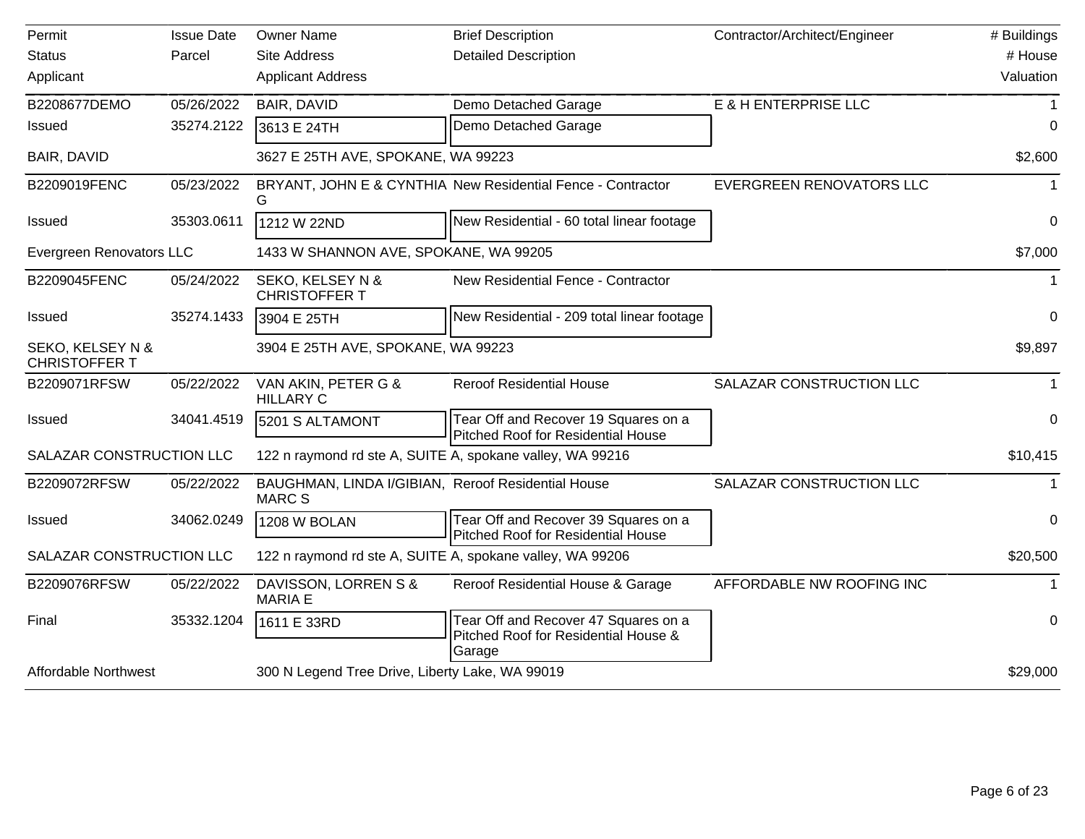| Permit                                              | <b>Issue Date</b> | <b>Owner Name</b>                                                   | <b>Brief Description</b>                                                               | Contractor/Architect/Engineer   | # Buildings |
|-----------------------------------------------------|-------------------|---------------------------------------------------------------------|----------------------------------------------------------------------------------------|---------------------------------|-------------|
| <b>Status</b>                                       | Parcel            | <b>Site Address</b>                                                 | <b>Detailed Description</b>                                                            |                                 | # House     |
| Applicant                                           |                   | <b>Applicant Address</b>                                            |                                                                                        |                                 | Valuation   |
| B2208677DEMO                                        | 05/26/2022        | BAIR, DAVID                                                         | Demo Detached Garage                                                                   | E & H ENTERPRISE LLC            |             |
| <b>Issued</b>                                       | 35274.2122        | 3613 E 24TH                                                         | Demo Detached Garage                                                                   |                                 | 0           |
| BAIR, DAVID                                         |                   | 3627 E 25TH AVE, SPOKANE, WA 99223                                  |                                                                                        |                                 | \$2,600     |
| B2209019FENC                                        | 05/23/2022        | G                                                                   | BRYANT, JOHN E & CYNTHIA New Residential Fence - Contractor                            | <b>EVERGREEN RENOVATORS LLC</b> |             |
| <b>Issued</b>                                       | 35303.0611        | 1212 W 22ND                                                         | New Residential - 60 total linear footage                                              |                                 | 0           |
| Evergreen Renovators LLC                            |                   | 1433 W SHANNON AVE, SPOKANE, WA 99205                               |                                                                                        |                                 | \$7,000     |
| B2209045FENC                                        | 05/24/2022        | SEKO, KELSEY N &<br><b>CHRISTOFFER T</b>                            | New Residential Fence - Contractor                                                     |                                 | -1          |
| <b>Issued</b>                                       | 35274.1433        | 3904 E 25TH                                                         | New Residential - 209 total linear footage                                             |                                 | $\Omega$    |
| <b>SEKO, KELSEY N &amp;</b><br><b>CHRISTOFFER T</b> |                   | 3904 E 25TH AVE, SPOKANE, WA 99223                                  |                                                                                        |                                 | \$9,897     |
| B2209071RFSW                                        | 05/22/2022        | VAN AKIN, PETER G &<br><b>HILLARY C</b>                             | <b>Reroof Residential House</b>                                                        | SALAZAR CONSTRUCTION LLC        | $\mathbf 1$ |
| <b>Issued</b>                                       | 34041.4519        | 5201 S ALTAMONT                                                     | Tear Off and Recover 19 Squares on a<br>Pitched Roof for Residential House             |                                 | 0           |
| SALAZAR CONSTRUCTION LLC                            |                   | 122 n raymond rd ste A, SUITE A, spokane valley, WA 99216           |                                                                                        |                                 | \$10,415    |
| B2209072RFSW                                        | 05/22/2022        | BAUGHMAN, LINDA I/GIBIAN, Reroof Residential House<br><b>MARC S</b> |                                                                                        | SALAZAR CONSTRUCTION LLC        |             |
| <b>Issued</b>                                       | 34062.0249        | 1208 W BOLAN                                                        | Tear Off and Recover 39 Squares on a<br>Pitched Roof for Residential House             |                                 | $\Omega$    |
| SALAZAR CONSTRUCTION LLC                            |                   | 122 n raymond rd ste A, SUITE A, spokane valley, WA 99206           |                                                                                        |                                 | \$20,500    |
| B2209076RFSW                                        | 05/22/2022        | DAVISSON, LORREN S &<br><b>MARIA E</b>                              | Reroof Residential House & Garage                                                      | AFFORDABLE NW ROOFING INC       |             |
| Final                                               | 35332.1204        | 1611 E 33RD                                                         | Tear Off and Recover 47 Squares on a<br>Pitched Roof for Residential House &<br>Garage |                                 | 0           |
| <b>Affordable Northwest</b>                         |                   | 300 N Legend Tree Drive, Liberty Lake, WA 99019                     |                                                                                        |                                 | \$29,000    |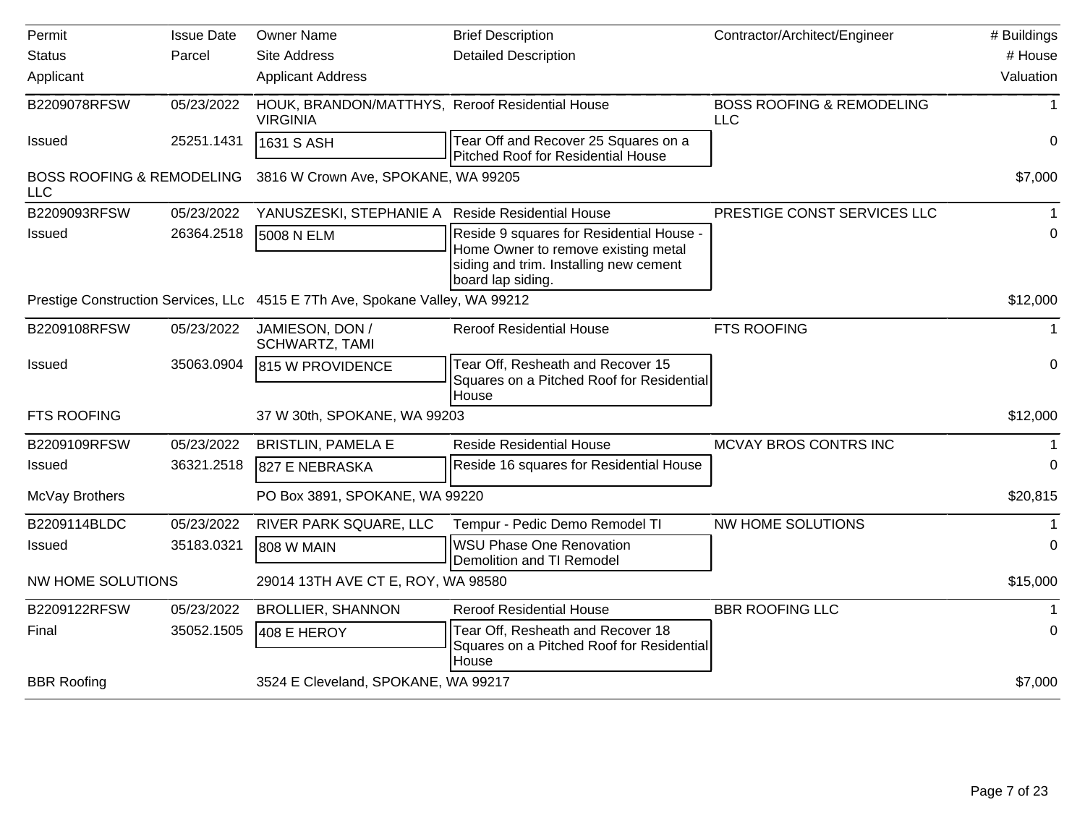| Permit                                             | <b>Issue Date</b> | <b>Owner Name</b>                                                            | <b>Brief Description</b>                                                                                                                       | Contractor/Architect/Engineer                      | # Buildings |
|----------------------------------------------------|-------------------|------------------------------------------------------------------------------|------------------------------------------------------------------------------------------------------------------------------------------------|----------------------------------------------------|-------------|
| <b>Status</b>                                      | Parcel            | <b>Site Address</b>                                                          | <b>Detailed Description</b>                                                                                                                    |                                                    | # House     |
| Applicant                                          |                   | <b>Applicant Address</b>                                                     |                                                                                                                                                |                                                    | Valuation   |
| B2209078RFSW                                       | 05/23/2022        | HOUK, BRANDON/MATTHYS, Reroof Residential House<br><b>VIRGINIA</b>           |                                                                                                                                                | <b>BOSS ROOFING &amp; REMODELING</b><br><b>LLC</b> |             |
| <b>Issued</b>                                      | 25251.1431        | 1631 S ASH                                                                   | Tear Off and Recover 25 Squares on a<br>Pitched Roof for Residential House                                                                     |                                                    | 0           |
| <b>BOSS ROOFING &amp; REMODELING</b><br><b>LLC</b> |                   | 3816 W Crown Ave, SPOKANE, WA 99205                                          |                                                                                                                                                |                                                    | \$7,000     |
| B2209093RFSW                                       | 05/23/2022        | YANUSZESKI, STEPHANIE A Reside Residential House                             |                                                                                                                                                | PRESTIGE CONST SERVICES LLC                        |             |
| <b>Issued</b>                                      | 26364.2518        | 5008 N ELM                                                                   | Reside 9 squares for Residential House -<br>Home Owner to remove existing metal<br>siding and trim. Installing new cement<br>board lap siding. |                                                    | 0           |
|                                                    |                   | Prestige Construction Services, LLc 4515 E 7Th Ave, Spokane Valley, WA 99212 |                                                                                                                                                |                                                    | \$12,000    |
| B2209108RFSW                                       | 05/23/2022        | JAMIESON, DON /<br><b>SCHWARTZ, TAMI</b>                                     | <b>Reroof Residential House</b>                                                                                                                | FTS ROOFING                                        | 1           |
| Issued                                             | 35063.0904        | 815 W PROVIDENCE                                                             | Tear Off, Resheath and Recover 15<br>Squares on a Pitched Roof for Residential<br>House                                                        |                                                    | 0           |
| FTS ROOFING                                        |                   | 37 W 30th, SPOKANE, WA 99203                                                 |                                                                                                                                                |                                                    | \$12,000    |
| B2209109RFSW                                       | 05/23/2022        | <b>BRISTLIN, PAMELA E</b>                                                    | <b>Reside Residential House</b>                                                                                                                | MCVAY BROS CONTRS INC                              | 1           |
| Issued                                             | 36321.2518        | 827 E NEBRASKA                                                               | Reside 16 squares for Residential House                                                                                                        |                                                    | $\Omega$    |
| McVay Brothers                                     |                   | PO Box 3891, SPOKANE, WA 99220                                               |                                                                                                                                                |                                                    | \$20,815    |
| B2209114BLDC                                       | 05/23/2022        | RIVER PARK SQUARE, LLC                                                       | Tempur - Pedic Demo Remodel TI                                                                                                                 | NW HOME SOLUTIONS                                  | 1           |
| Issued                                             | 35183.0321        | 808 W MAIN                                                                   | <b>WSU Phase One Renovation</b><br>Demolition and TI Remodel                                                                                   |                                                    | 0           |
| <b>NW HOME SOLUTIONS</b>                           |                   | 29014 13TH AVE CT E, ROY, WA 98580                                           |                                                                                                                                                |                                                    | \$15,000    |
| B2209122RFSW                                       | 05/23/2022        | <b>BROLLIER, SHANNON</b>                                                     | <b>Reroof Residential House</b>                                                                                                                | <b>BBR ROOFING LLC</b>                             |             |
| Final                                              | 35052.1505        | 408 E HEROY                                                                  | Tear Off, Resheath and Recover 18<br>Squares on a Pitched Roof for Residential<br>House                                                        |                                                    | 0           |
| <b>BBR Roofing</b>                                 |                   | 3524 E Cleveland, SPOKANE, WA 99217                                          |                                                                                                                                                |                                                    | \$7,000     |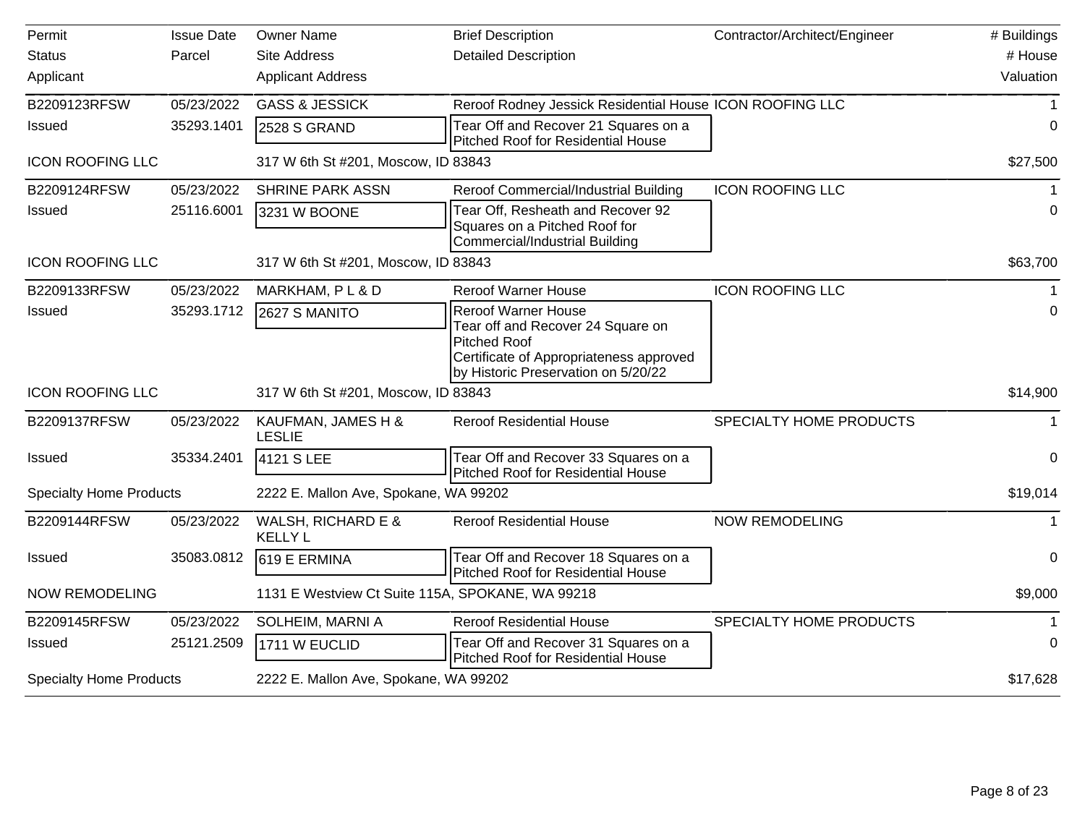| Permit                         | <b>Issue Date</b> | <b>Owner Name</b>                                | <b>Brief Description</b>                                                                                                                                                 | Contractor/Architect/Engineer | # Buildings |
|--------------------------------|-------------------|--------------------------------------------------|--------------------------------------------------------------------------------------------------------------------------------------------------------------------------|-------------------------------|-------------|
| <b>Status</b>                  | Parcel            | <b>Site Address</b>                              | <b>Detailed Description</b>                                                                                                                                              |                               | # House     |
| Applicant                      |                   | <b>Applicant Address</b>                         |                                                                                                                                                                          |                               | Valuation   |
| B2209123RFSW                   | 05/23/2022        | <b>GASS &amp; JESSICK</b>                        | Reroof Rodney Jessick Residential House ICON ROOFING LLC                                                                                                                 |                               |             |
| <b>Issued</b>                  | 35293.1401        | 2528 S GRAND                                     | Tear Off and Recover 21 Squares on a<br>Pitched Roof for Residential House                                                                                               |                               | 0           |
| <b>ICON ROOFING LLC</b>        |                   | 317 W 6th St #201, Moscow, ID 83843              |                                                                                                                                                                          |                               | \$27,500    |
| B2209124RFSW                   | 05/23/2022        | <b>SHRINE PARK ASSN</b>                          | Reroof Commercial/Industrial Building                                                                                                                                    | <b>ICON ROOFING LLC</b>       | $\mathbf 1$ |
| <b>Issued</b>                  | 25116.6001        | 3231 W BOONE                                     | Tear Off, Resheath and Recover 92<br>Squares on a Pitched Roof for<br><b>Commercial/Industrial Building</b>                                                              |                               | 0           |
| <b>ICON ROOFING LLC</b>        |                   | 317 W 6th St #201, Moscow, ID 83843              |                                                                                                                                                                          |                               | \$63,700    |
| B2209133RFSW                   | 05/23/2022        | MARKHAM, PL & D                                  | <b>Reroof Warner House</b>                                                                                                                                               | <b>ICON ROOFING LLC</b>       |             |
| <b>Issued</b>                  | 35293.1712        | 2627 S MANITO                                    | <b>Reroof Warner House</b><br>Tear off and Recover 24 Square on<br><b>Pitched Roof</b><br>Certificate of Appropriateness approved<br>by Historic Preservation on 5/20/22 |                               | $\mathbf 0$ |
| <b>ICON ROOFING LLC</b>        |                   | 317 W 6th St #201, Moscow, ID 83843              |                                                                                                                                                                          |                               | \$14,900    |
| B2209137RFSW                   | 05/23/2022        | KAUFMAN, JAMES H &<br><b>LESLIE</b>              | <b>Reroof Residential House</b>                                                                                                                                          | SPECIALTY HOME PRODUCTS       | $\mathbf 1$ |
| <b>Issued</b>                  | 35334.2401        | 4121 S LEE                                       | Tear Off and Recover 33 Squares on a<br><b>Pitched Roof for Residential House</b>                                                                                        |                               | 0           |
| <b>Specialty Home Products</b> |                   | 2222 E. Mallon Ave, Spokane, WA 99202            |                                                                                                                                                                          |                               | \$19,014    |
| B2209144RFSW                   | 05/23/2022        | WALSH, RICHARD E &<br><b>KELLY L</b>             | <b>Reroof Residential House</b>                                                                                                                                          | <b>NOW REMODELING</b>         | 1           |
| Issued                         | 35083.0812        | 619 E ERMINA                                     | Tear Off and Recover 18 Squares on a<br>Pitched Roof for Residential House                                                                                               |                               | $\mathbf 0$ |
| <b>NOW REMODELING</b>          |                   | 1131 E Westview Ct Suite 115A, SPOKANE, WA 99218 |                                                                                                                                                                          |                               | \$9,000     |
| B2209145RFSW                   | 05/23/2022        | SOLHEIM, MARNI A                                 | <b>Reroof Residential House</b>                                                                                                                                          | SPECIALTY HOME PRODUCTS       |             |
| <b>Issued</b>                  | 25121.2509        | 1711 W EUCLID                                    | Tear Off and Recover 31 Squares on a<br>Pitched Roof for Residential House                                                                                               |                               | 0           |
| <b>Specialty Home Products</b> |                   | 2222 E. Mallon Ave, Spokane, WA 99202            |                                                                                                                                                                          |                               | \$17,628    |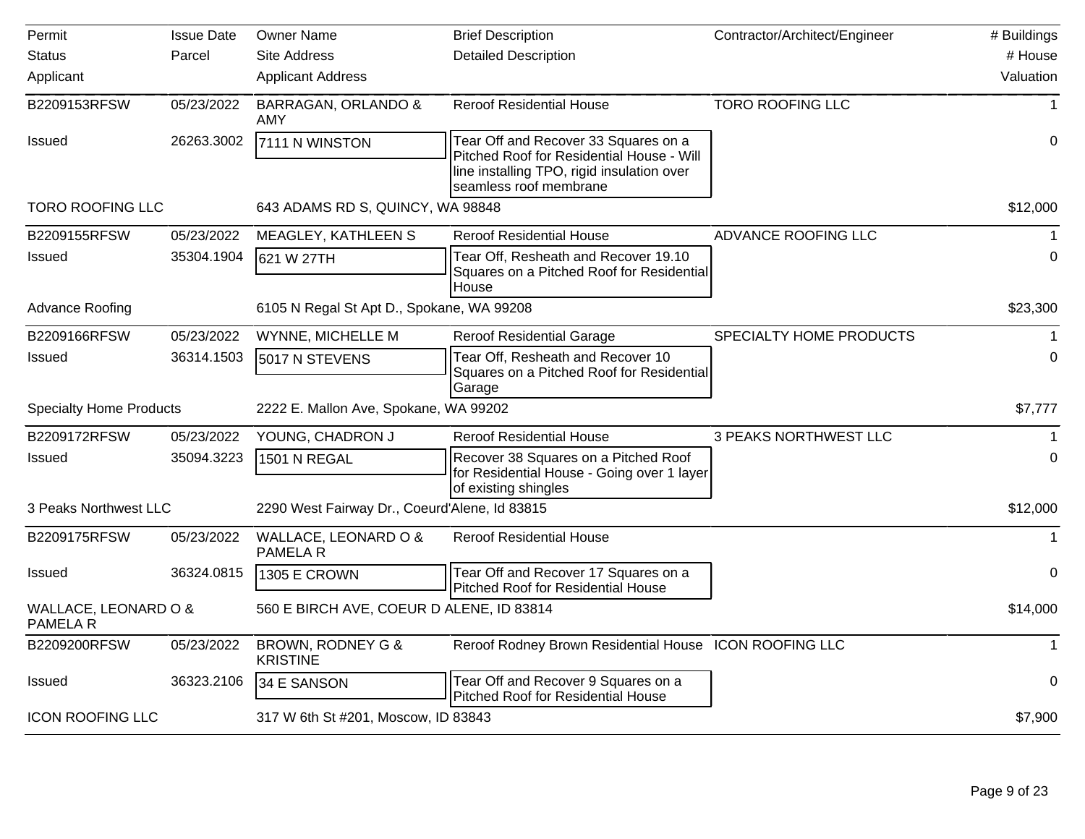| Permit                                  | <b>Issue Date</b> | <b>Owner Name</b>                             | <b>Brief Description</b>                                                                                                                                  | Contractor/Architect/Engineer | # Buildings  |
|-----------------------------------------|-------------------|-----------------------------------------------|-----------------------------------------------------------------------------------------------------------------------------------------------------------|-------------------------------|--------------|
| <b>Status</b>                           | Parcel            | <b>Site Address</b>                           | <b>Detailed Description</b>                                                                                                                               |                               | # House      |
| Applicant                               |                   | <b>Applicant Address</b>                      |                                                                                                                                                           |                               | Valuation    |
| B2209153RFSW                            | 05/23/2022        | <b>BARRAGAN, ORLANDO &amp;</b><br>AMY         | <b>Reroof Residential House</b>                                                                                                                           | <b>TORO ROOFING LLC</b>       | $\mathbf{1}$ |
| <b>Issued</b>                           | 26263.3002        | 7111 N WINSTON                                | Tear Off and Recover 33 Squares on a<br>Pitched Roof for Residential House - Will<br>line installing TPO, rigid insulation over<br>seamless roof membrane |                               | $\mathbf 0$  |
| <b>TORO ROOFING LLC</b>                 |                   | 643 ADAMS RD S, QUINCY, WA 98848              |                                                                                                                                                           |                               | \$12,000     |
| B2209155RFSW                            | 05/23/2022        | MEAGLEY, KATHLEEN S                           | <b>Reroof Residential House</b>                                                                                                                           | ADVANCE ROOFING LLC           | 1            |
| <b>Issued</b>                           | 35304.1904        | 621 W 27TH                                    | Tear Off, Resheath and Recover 19.10<br>Squares on a Pitched Roof for Residential<br>House                                                                |                               | 0            |
| <b>Advance Roofing</b>                  |                   | 6105 N Regal St Apt D., Spokane, WA 99208     |                                                                                                                                                           |                               | \$23,300     |
| B2209166RFSW                            | 05/23/2022        | WYNNE, MICHELLE M                             | <b>Reroof Residential Garage</b>                                                                                                                          | SPECIALTY HOME PRODUCTS       |              |
| <b>Issued</b>                           | 36314.1503        | 5017 N STEVENS                                | Tear Off, Resheath and Recover 10<br>Squares on a Pitched Roof for Residential<br>Garage                                                                  |                               | 0            |
| <b>Specialty Home Products</b>          |                   | 2222 E. Mallon Ave, Spokane, WA 99202         |                                                                                                                                                           |                               | \$7,777      |
| B2209172RFSW                            | 05/23/2022        | YOUNG, CHADRON J                              | <b>Reroof Residential House</b>                                                                                                                           | <b>3 PEAKS NORTHWEST LLC</b>  |              |
| Issued                                  | 35094.3223        | 1501 N REGAL                                  | Recover 38 Squares on a Pitched Roof<br>for Residential House - Going over 1 layer<br>of existing shingles                                                |                               | 0            |
| 3 Peaks Northwest LLC                   |                   | 2290 West Fairway Dr., Coeurd'Alene, Id 83815 |                                                                                                                                                           |                               | \$12,000     |
| B2209175RFSW                            | 05/23/2022        | WALLACE, LEONARD O &<br>PAMELA R              | <b>Reroof Residential House</b>                                                                                                                           |                               | 1            |
| <b>Issued</b>                           | 36324.0815        | <b>1305 E CROWN</b>                           | Tear Off and Recover 17 Squares on a<br>Pitched Roof for Residential House                                                                                |                               | $\mathbf 0$  |
| WALLACE, LEONARD O &<br><b>PAMELA R</b> |                   | 560 E BIRCH AVE, COEUR D ALENE, ID 83814      |                                                                                                                                                           |                               | \$14,000     |
| B2209200RFSW                            | 05/23/2022        | BROWN, RODNEY G &<br><b>KRISTINE</b>          | Reroof Rodney Brown Residential House ICON ROOFING LLC                                                                                                    |                               | $\mathbf 1$  |
| <b>Issued</b>                           | 36323.2106        | 34 E SANSON                                   | Tear Off and Recover 9 Squares on a<br>Pitched Roof for Residential House                                                                                 |                               | 0            |
| <b>ICON ROOFING LLC</b>                 |                   | 317 W 6th St #201, Moscow, ID 83843           |                                                                                                                                                           |                               | \$7,900      |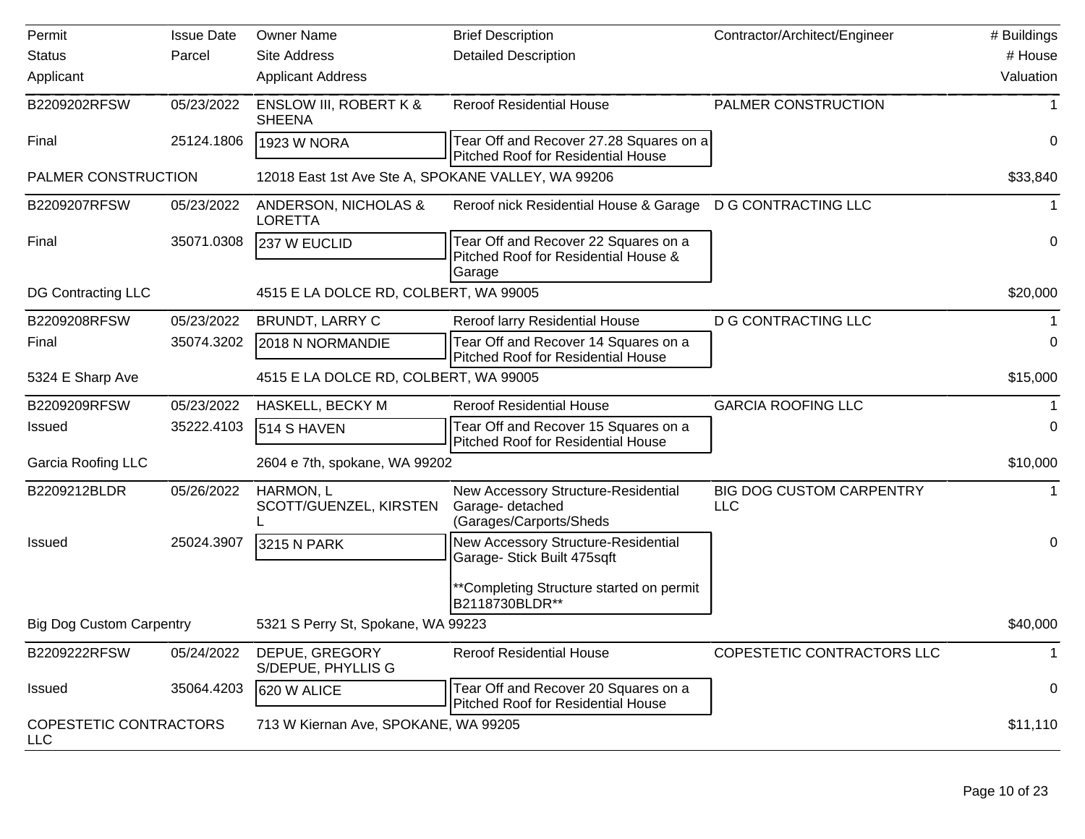| Permit                               | <b>Issue Date</b> | <b>Owner Name</b>                                  | <b>Brief Description</b>                                                               | Contractor/Architect/Engineer          | # Buildings |
|--------------------------------------|-------------------|----------------------------------------------------|----------------------------------------------------------------------------------------|----------------------------------------|-------------|
| <b>Status</b>                        | Parcel            | <b>Site Address</b>                                | <b>Detailed Description</b>                                                            |                                        | # House     |
| Applicant                            |                   | <b>Applicant Address</b>                           |                                                                                        |                                        | Valuation   |
| B2209202RFSW                         | 05/23/2022        | <b>ENSLOW III, ROBERT K &amp;</b><br><b>SHEENA</b> | <b>Reroof Residential House</b>                                                        | PALMER CONSTRUCTION                    |             |
| Final                                | 25124.1806        | <b>1923 W NORA</b>                                 | Tear Off and Recover 27.28 Squares on a<br>Pitched Roof for Residential House          |                                        | 0           |
| PALMER CONSTRUCTION                  |                   | 12018 East 1st Ave Ste A, SPOKANE VALLEY, WA 99206 |                                                                                        |                                        | \$33,840    |
| B2209207RFSW                         | 05/23/2022        | ANDERSON, NICHOLAS &<br><b>LORETTA</b>             | Reroof nick Residential House & Garage                                                 | <b>D G CONTRACTING LLC</b>             | 1           |
| Final                                | 35071.0308        | 237 W EUCLID                                       | Tear Off and Recover 22 Squares on a<br>Pitched Roof for Residential House &<br>Garage |                                        | 0           |
| DG Contracting LLC                   |                   | 4515 E LA DOLCE RD, COLBERT, WA 99005              |                                                                                        |                                        | \$20,000    |
| B2209208RFSW                         | 05/23/2022        | BRUNDT, LARRY C                                    | Reroof larry Residential House                                                         | <b>D G CONTRACTING LLC</b>             |             |
| Final                                | 35074.3202        | 2018 N NORMANDIE                                   | Tear Off and Recover 14 Squares on a<br>Pitched Roof for Residential House             |                                        | 0           |
| 5324 E Sharp Ave                     |                   | 4515 E LA DOLCE RD, COLBERT, WA 99005              |                                                                                        |                                        | \$15,000    |
| B2209209RFSW                         | 05/23/2022        | HASKELL, BECKY M                                   | <b>Reroof Residential House</b>                                                        | <b>GARCIA ROOFING LLC</b>              | 1           |
| <b>Issued</b>                        | 35222.4103        | 514 S HAVEN                                        | Tear Off and Recover 15 Squares on a<br><b>Pitched Roof for Residential House</b>      |                                        | 0           |
| <b>Garcia Roofing LLC</b>            |                   | 2604 e 7th, spokane, WA 99202                      |                                                                                        |                                        | \$10,000    |
| B2209212BLDR                         | 05/26/2022        | HARMON, L<br>SCOTT/GUENZEL, KIRSTEN                | New Accessory Structure-Residential<br>Garage- detached<br>(Garages/Carports/Sheds     | <b>BIG DOG CUSTOM CARPENTRY</b><br>LLC |             |
| <b>Issued</b>                        | 25024.3907        | 3215 N PARK                                        | New Accessory Structure-Residential<br>Garage- Stick Built 475sqft                     |                                        | 0           |
|                                      |                   |                                                    | **Completing Structure started on permit<br>B2118730BLDR**                             |                                        |             |
| <b>Big Dog Custom Carpentry</b>      |                   | 5321 S Perry St, Spokane, WA 99223                 |                                                                                        |                                        | \$40,000    |
| B2209222RFSW                         | 05/24/2022        | DEPUE, GREGORY<br>S/DEPUE, PHYLLIS G               | <b>Reroof Residential House</b>                                                        | COPESTETIC CONTRACTORS LLC             | 1           |
| <b>Issued</b>                        | 35064.4203        | 620 W ALICE                                        | Tear Off and Recover 20 Squares on a<br><b>Pitched Roof for Residential House</b>      |                                        | 0           |
| COPESTETIC CONTRACTORS<br><b>LLC</b> |                   | 713 W Kiernan Ave, SPOKANE, WA 99205               |                                                                                        |                                        | \$11,110    |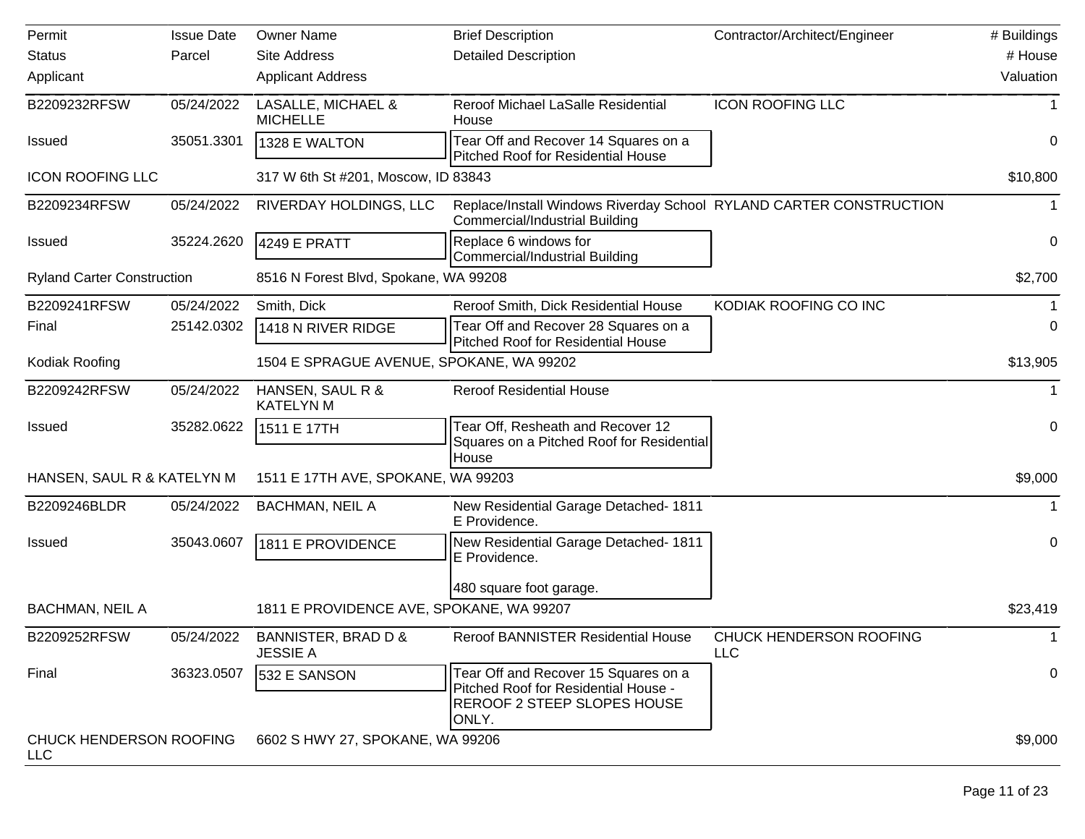| Permit                                | <b>Issue Date</b> | <b>Owner Name</b>                        | <b>Brief Description</b>                                                                                             | Contractor/Architect/Engineer  | # Buildings  |
|---------------------------------------|-------------------|------------------------------------------|----------------------------------------------------------------------------------------------------------------------|--------------------------------|--------------|
| <b>Status</b>                         | Parcel            | <b>Site Address</b>                      | <b>Detailed Description</b>                                                                                          |                                | # House      |
| Applicant                             |                   | <b>Applicant Address</b>                 |                                                                                                                      |                                | Valuation    |
| B2209232RFSW                          | 05/24/2022        | LASALLE, MICHAEL &<br><b>MICHELLE</b>    | Reroof Michael LaSalle Residential<br>House                                                                          | <b>ICON ROOFING LLC</b>        |              |
| <b>Issued</b>                         | 35051.3301        | 1328 E WALTON                            | Tear Off and Recover 14 Squares on a<br><b>Pitched Roof for Residential House</b>                                    |                                | 0            |
| <b>ICON ROOFING LLC</b>               |                   | 317 W 6th St #201, Moscow, ID 83843      |                                                                                                                      |                                | \$10,800     |
| B2209234RFSW                          | 05/24/2022        | RIVERDAY HOLDINGS, LLC                   | Replace/Install Windows Riverday School RYLAND CARTER CONSTRUCTION<br><b>Commercial/Industrial Building</b>          |                                |              |
| <b>Issued</b>                         | 35224.2620        | 4249 E PRATT                             | Replace 6 windows for<br>Commercial/Industrial Building                                                              |                                | 0            |
| <b>Ryland Carter Construction</b>     |                   | 8516 N Forest Blvd, Spokane, WA 99208    |                                                                                                                      |                                | \$2,700      |
| B2209241RFSW                          | 05/24/2022        | Smith, Dick                              | Reroof Smith, Dick Residential House                                                                                 | KODIAK ROOFING CO INC          |              |
| Final                                 | 25142.0302        | 1418 N RIVER RIDGE                       | Tear Off and Recover 28 Squares on a<br>Pitched Roof for Residential House                                           |                                | 0            |
| Kodiak Roofing                        |                   | 1504 E SPRAGUE AVENUE, SPOKANE, WA 99202 |                                                                                                                      |                                | \$13,905     |
| B2209242RFSW                          | 05/24/2022        | HANSEN, SAUL R &<br><b>KATELYN M</b>     | <b>Reroof Residential House</b>                                                                                      |                                | 1            |
| Issued                                | 35282.0622        | 1511 E 17TH                              | Tear Off, Resheath and Recover 12<br>Squares on a Pitched Roof for Residential                                       |                                | 0            |
| HANSEN, SAUL R & KATELYN M            |                   | 1511 E 17TH AVE, SPOKANE, WA 99203       | House                                                                                                                |                                | \$9,000      |
| B2209246BLDR                          | 05/24/2022        | <b>BACHMAN, NEIL A</b>                   | New Residential Garage Detached- 1811<br>E Providence.                                                               |                                | $\mathbf{1}$ |
| <b>Issued</b>                         | 35043.0607        | 1811 E PROVIDENCE                        | New Residential Garage Detached- 1811<br>E Providence.                                                               |                                | 0            |
|                                       |                   |                                          | 480 square foot garage.                                                                                              |                                |              |
| <b>BACHMAN, NEIL A</b>                |                   | 1811 E PROVIDENCE AVE, SPOKANE, WA 99207 |                                                                                                                      |                                | \$23,419     |
| B2209252RFSW                          | 05/24/2022        | BANNISTER, BRAD D &<br><b>JESSIE A</b>   | Reroof BANNISTER Residential House                                                                                   | CHUCK HENDERSON ROOFING<br>LLC | 1            |
| Final                                 | 36323.0507        | 532 E SANSON                             | Tear Off and Recover 15 Squares on a<br>Pitched Roof for Residential House -<br>REROOF 2 STEEP SLOPES HOUSE<br>ONLY. |                                | 0            |
| CHUCK HENDERSON ROOFING<br><b>LLC</b> |                   | 6602 S HWY 27, SPOKANE, WA 99206         |                                                                                                                      |                                | \$9,000      |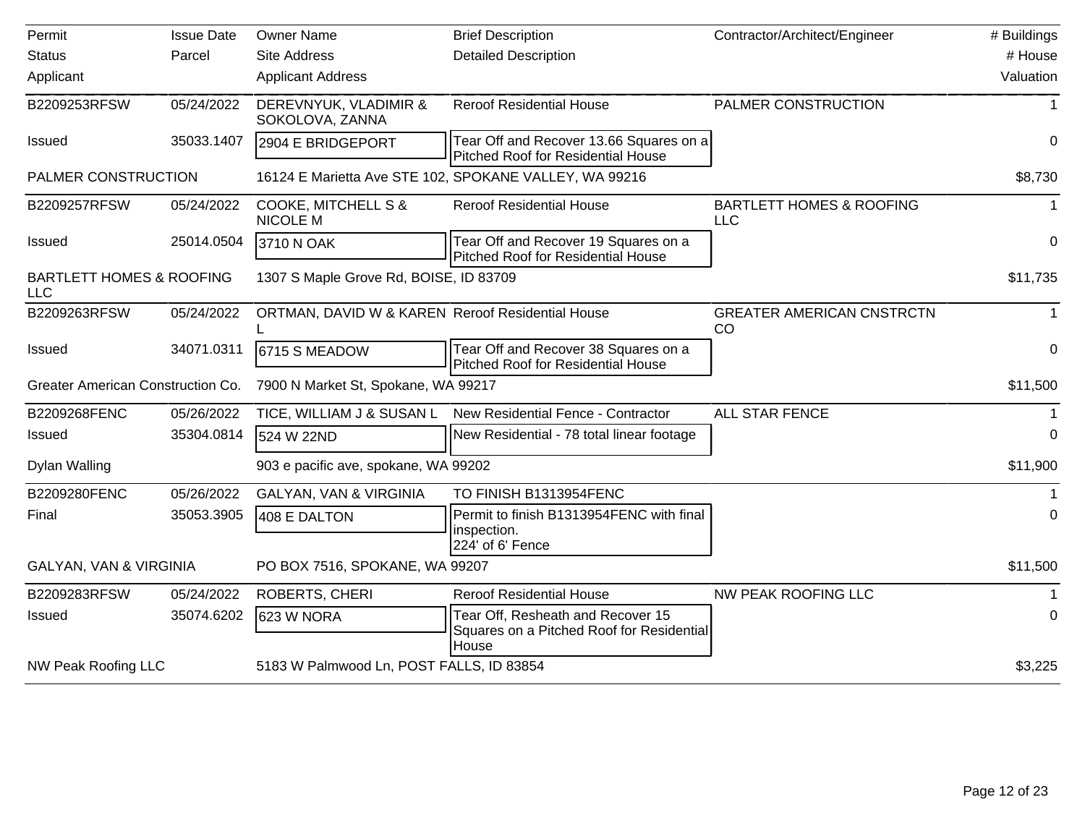| Permit                                            | <b>Issue Date</b> | <b>Owner Name</b>                                 | <b>Brief Description</b>                                                                | Contractor/Architect/Engineer                     | # Buildings |
|---------------------------------------------------|-------------------|---------------------------------------------------|-----------------------------------------------------------------------------------------|---------------------------------------------------|-------------|
| <b>Status</b>                                     | Parcel            | <b>Site Address</b>                               | <b>Detailed Description</b>                                                             |                                                   | # House     |
| Applicant                                         |                   | <b>Applicant Address</b>                          |                                                                                         |                                                   | Valuation   |
| B2209253RFSW                                      | 05/24/2022        | DEREVNYUK, VLADIMIR &<br>SOKOLOVA, ZANNA          | <b>Reroof Residential House</b>                                                         | PALMER CONSTRUCTION                               | 1           |
| Issued                                            | 35033.1407        | 2904 E BRIDGEPORT                                 | Tear Off and Recover 13.66 Squares on a<br><b>Pitched Roof for Residential House</b>    |                                                   | 0           |
| PALMER CONSTRUCTION                               |                   |                                                   | 16124 E Marietta Ave STE 102, SPOKANE VALLEY, WA 99216                                  |                                                   | \$8,730     |
| B2209257RFSW                                      | 05/24/2022        | <b>COOKE, MITCHELL S &amp;</b><br><b>NICOLE M</b> | <b>Reroof Residential House</b>                                                         | <b>BARTLETT HOMES &amp; ROOFING</b><br><b>LLC</b> |             |
| Issued                                            | 25014.0504        | 3710 N OAK                                        | Tear Off and Recover 19 Squares on a<br>Pitched Roof for Residential House              |                                                   | $\mathbf 0$ |
| <b>BARTLETT HOMES &amp; ROOFING</b><br><b>LLC</b> |                   | 1307 S Maple Grove Rd, BOISE, ID 83709            |                                                                                         |                                                   | \$11,735    |
| B2209263RFSW                                      | 05/24/2022        | ORTMAN, DAVID W & KAREN Reroof Residential House  |                                                                                         | <b>GREATER AMERICAN CNSTRCTN</b><br>CO            |             |
| <b>Issued</b>                                     | 34071.0311        | 6715 S MEADOW                                     | Tear Off and Recover 38 Squares on a<br><b>Pitched Roof for Residential House</b>       |                                                   | 0           |
| Greater American Construction Co.                 |                   | 7900 N Market St, Spokane, WA 99217               |                                                                                         |                                                   | \$11,500    |
| B2209268FENC                                      | 05/26/2022        | TICE, WILLIAM J & SUSAN L                         | New Residential Fence - Contractor                                                      | <b>ALL STAR FENCE</b>                             |             |
| Issued                                            | 35304.0814        | 524 W 22ND                                        | New Residential - 78 total linear footage                                               |                                                   | 0           |
| Dylan Walling                                     |                   | 903 e pacific ave, spokane, WA 99202              |                                                                                         |                                                   | \$11,900    |
| B2209280FENC                                      | 05/26/2022        | <b>GALYAN, VAN &amp; VIRGINIA</b>                 | TO FINISH B1313954FENC                                                                  |                                                   |             |
| Final                                             | 35053.3905        | 408 E DALTON                                      | Permit to finish B1313954FENC with final<br>inspection.<br>224' of 6' Fence             |                                                   | $\Omega$    |
| <b>GALYAN, VAN &amp; VIRGINIA</b>                 |                   | PO BOX 7516, SPOKANE, WA 99207                    |                                                                                         |                                                   | \$11,500    |
| B2209283RFSW                                      | 05/24/2022        | ROBERTS, CHERI                                    | <b>Reroof Residential House</b>                                                         | <b>NW PEAK ROOFING LLC</b>                        |             |
| Issued                                            | 35074.6202        | 623 W NORA                                        | Tear Off, Resheath and Recover 15<br>Squares on a Pitched Roof for Residential<br>House |                                                   | $\Omega$    |
| <b>NW Peak Roofing LLC</b>                        |                   | 5183 W Palmwood Ln, POST FALLS, ID 83854          |                                                                                         |                                                   | \$3,225     |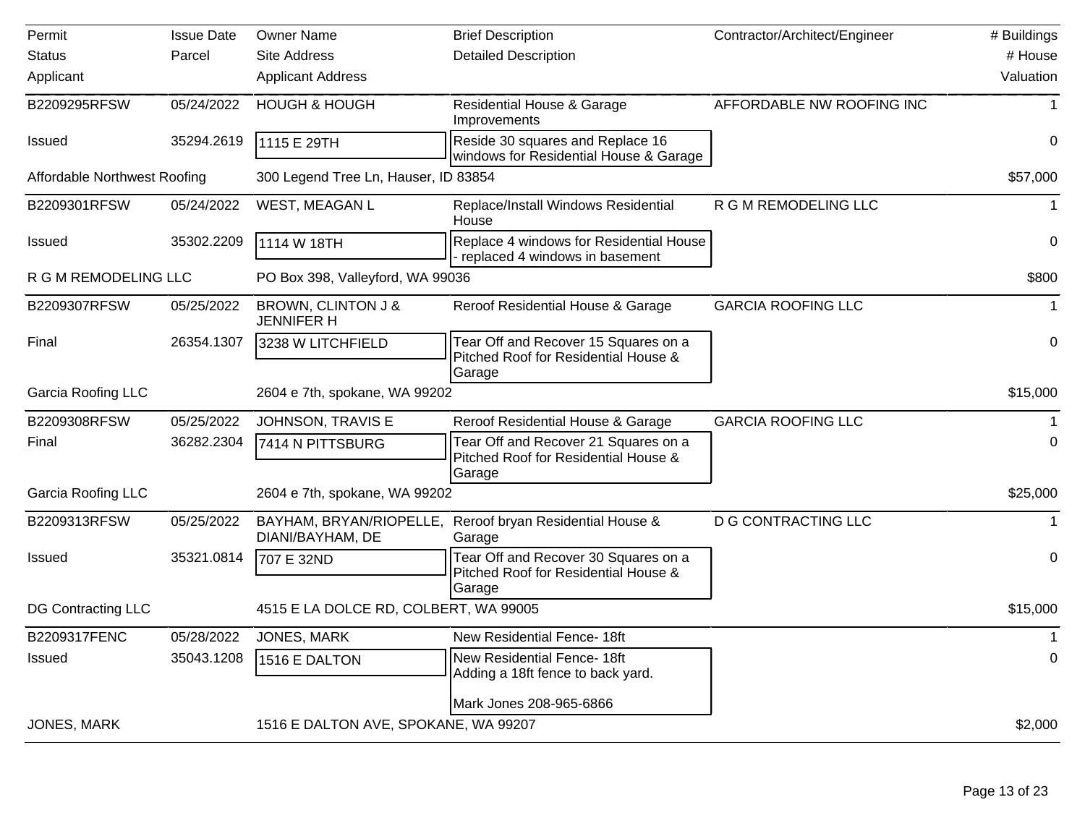| Permit                              | <b>Issue Date</b> | <b>Owner Name</b>                           | <b>Brief Description</b>                                                               | Contractor/Architect/Engineer | # Buildings |
|-------------------------------------|-------------------|---------------------------------------------|----------------------------------------------------------------------------------------|-------------------------------|-------------|
| <b>Status</b>                       | Parcel            | <b>Site Address</b>                         | <b>Detailed Description</b>                                                            |                               | # House     |
| Applicant                           |                   | <b>Applicant Address</b>                    |                                                                                        |                               | Valuation   |
| B2209295RFSW                        | 05/24/2022        | <b>HOUGH &amp; HOUGH</b>                    | <b>Residential House &amp; Garage</b><br>Improvements                                  | AFFORDABLE NW ROOFING INC     | 1           |
| <b>Issued</b>                       | 35294.2619        | 1115 E 29TH                                 | Reside 30 squares and Replace 16<br>windows for Residential House & Garage             |                               | 0           |
| <b>Affordable Northwest Roofing</b> |                   | 300 Legend Tree Ln, Hauser, ID 83854        |                                                                                        |                               | \$57,000    |
| B2209301RFSW                        | 05/24/2022        | WEST, MEAGAN L                              | Replace/Install Windows Residential<br>House                                           | R G M REMODELING LLC          | $\mathbf 1$ |
| <b>Issued</b>                       | 35302.2209        | 1114 W 18TH                                 | Replace 4 windows for Residential House<br>- replaced 4 windows in basement            |                               | $\mathbf 0$ |
| R G M REMODELING LLC                |                   | PO Box 398, Valleyford, WA 99036            |                                                                                        |                               | \$800       |
| B2209307RFSW                        | 05/25/2022        | BROWN, CLINTON J &<br><b>JENNIFER H</b>     | Reroof Residential House & Garage                                                      | <b>GARCIA ROOFING LLC</b>     | 1           |
| Final                               | 26354.1307        | 3238 W LITCHFIELD                           | Tear Off and Recover 15 Squares on a<br>Pitched Roof for Residential House &<br>Garage |                               | 0           |
| <b>Garcia Roofing LLC</b>           |                   | 2604 e 7th, spokane, WA 99202               |                                                                                        |                               | \$15,000    |
| B2209308RFSW                        | 05/25/2022        | JOHNSON, TRAVIS E                           | Reroof Residential House & Garage                                                      | <b>GARCIA ROOFING LLC</b>     | 1           |
| Final                               | 36282.2304        | 7414 N PITTSBURG                            | Tear Off and Recover 21 Squares on a<br>Pitched Roof for Residential House &<br>Garage |                               | 0           |
| <b>Garcia Roofing LLC</b>           |                   | 2604 e 7th, spokane, WA 99202               |                                                                                        |                               | \$25,000    |
| B2209313RFSW                        | 05/25/2022        | BAYHAM, BRYAN/RIOPELLE,<br>DIANI/BAYHAM, DE | Reroof bryan Residential House &<br>Garage                                             | <b>D G CONTRACTING LLC</b>    | 1           |
| <b>Issued</b>                       | 35321.0814        | 707 E 32ND                                  | Tear Off and Recover 30 Squares on a<br>Pitched Roof for Residential House &<br>Garage |                               | 0           |
| <b>DG Contracting LLC</b>           |                   | 4515 E LA DOLCE RD, COLBERT, WA 99005       |                                                                                        |                               | \$15,000    |
| B2209317FENC                        | 05/28/2022        | JONES, MARK                                 | New Residential Fence- 18ft                                                            |                               |             |
| <b>Issued</b>                       | 35043.1208        | 1516 E DALTON                               | New Residential Fence- 18ft<br>Adding a 18ft fence to back yard.                       |                               | 0           |
|                                     |                   |                                             | Mark Jones 208-965-6866                                                                |                               |             |
| JONES, MARK                         |                   | 1516 E DALTON AVE, SPOKANE, WA 99207        |                                                                                        |                               | \$2,000     |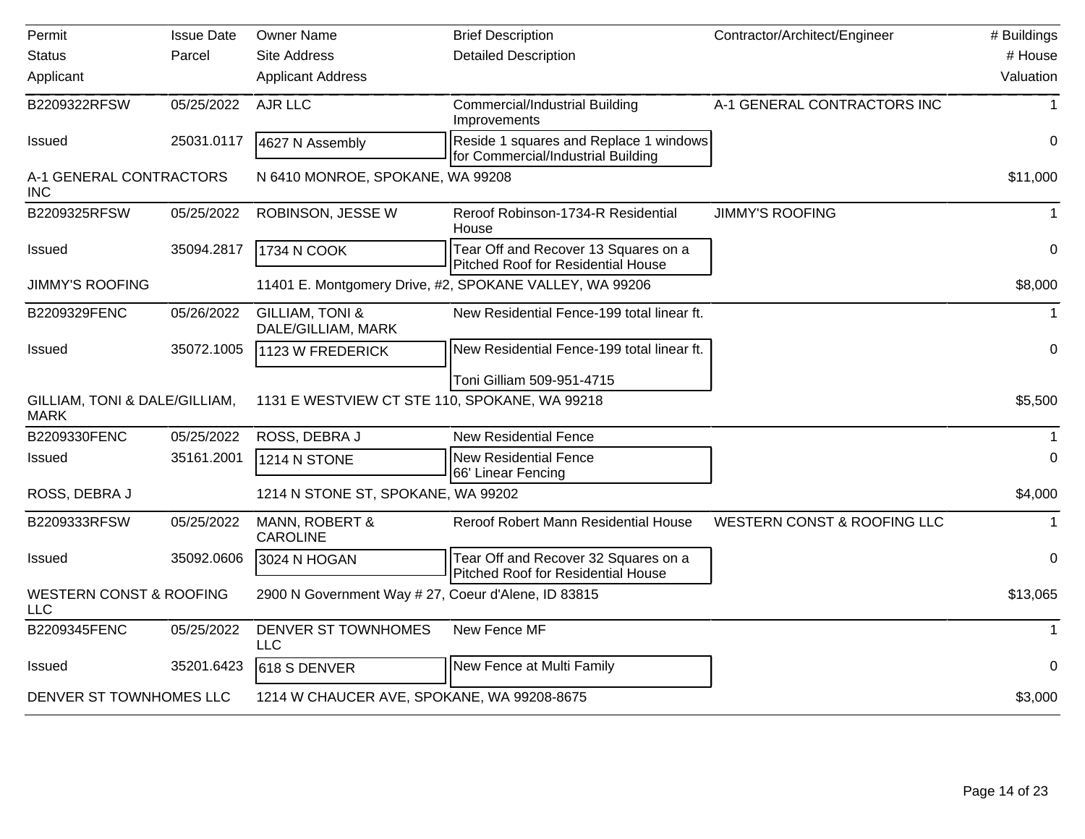| Permit                                       | <b>Issue Date</b> | <b>Owner Name</b>                                   | <b>Brief Description</b>                                                     | Contractor/Architect/Engineer | # Buildings  |
|----------------------------------------------|-------------------|-----------------------------------------------------|------------------------------------------------------------------------------|-------------------------------|--------------|
| <b>Status</b>                                | Parcel            | Site Address                                        | <b>Detailed Description</b>                                                  |                               | # House      |
| Applicant                                    |                   | <b>Applicant Address</b>                            |                                                                              |                               | Valuation    |
| B2209322RFSW                                 | 05/25/2022        | AJR LLC                                             | <b>Commercial/Industrial Building</b><br>Improvements                        | A-1 GENERAL CONTRACTORS INC   | -1           |
| <b>Issued</b>                                | 25031.0117        | 4627 N Assembly                                     | Reside 1 squares and Replace 1 windows<br>for Commercial/Industrial Building |                               | $\Omega$     |
| A-1 GENERAL CONTRACTORS<br><b>INC</b>        |                   | N 6410 MONROE, SPOKANE, WA 99208                    |                                                                              |                               | \$11,000     |
| B2209325RFSW                                 | 05/25/2022        | ROBINSON, JESSE W                                   | Reroof Robinson-1734-R Residential<br>House                                  | <b>JIMMY'S ROOFING</b>        | $\mathbf{1}$ |
| Issued                                       | 35094.2817        | 1734 N COOK                                         | Tear Off and Recover 13 Squares on a<br>Pitched Roof for Residential House   |                               | $\mathbf 0$  |
| <b>JIMMY'S ROOFING</b>                       |                   |                                                     | 11401 E. Montgomery Drive, #2, SPOKANE VALLEY, WA 99206                      |                               | \$8,000      |
| B2209329FENC                                 | 05/26/2022        | <b>GILLIAM, TONI &amp;</b><br>DALE/GILLIAM, MARK    | New Residential Fence-199 total linear ft.                                   |                               | $\mathbf 1$  |
| <b>Issued</b>                                | 35072.1005        | 1123 W FREDERICK                                    | New Residential Fence-199 total linear ft.                                   |                               | $\Omega$     |
|                                              |                   |                                                     | Toni Gilliam 509-951-4715                                                    |                               |              |
| GILLIAM, TONI & DALE/GILLIAM,<br><b>MARK</b> |                   | 1131 E WESTVIEW CT STE 110, SPOKANE, WA 99218       |                                                                              |                               | \$5,500      |
| B2209330FENC                                 | 05/25/2022        | ROSS, DEBRA J                                       | <b>New Residential Fence</b>                                                 |                               | $\mathbf{1}$ |
| <b>Issued</b>                                | 35161.2001        | 1214 N STONE                                        | <b>New Residential Fence</b><br>66' Linear Fencing                           |                               | $\Omega$     |
| ROSS, DEBRA J                                |                   | 1214 N STONE ST, SPOKANE, WA 99202                  |                                                                              |                               | \$4,000      |
| B2209333RFSW                                 | 05/25/2022        | MANN, ROBERT &<br><b>CAROLINE</b>                   | Reroof Robert Mann Residential House                                         | WESTERN CONST & ROOFING LLC   |              |
| <b>Issued</b>                                | 35092.0606        | 3024 N HOGAN                                        | Tear Off and Recover 32 Squares on a<br>Pitched Roof for Residential House   |                               | $\mathbf 0$  |
| <b>WESTERN CONST &amp; ROOFING</b><br>LLC    |                   | 2900 N Government Way # 27, Coeur d'Alene, ID 83815 |                                                                              |                               | \$13,065     |
| B2209345FENC                                 | 05/25/2022        | DENVER ST TOWNHOMES<br><b>LLC</b>                   | New Fence MF                                                                 |                               | $\mathbf{1}$ |
| Issued                                       | 35201.6423        | 618 S DENVER                                        | New Fence at Multi Family                                                    |                               | 0            |
| DENVER ST TOWNHOMES LLC                      |                   | 1214 W CHAUCER AVE, SPOKANE, WA 99208-8675          |                                                                              |                               | \$3,000      |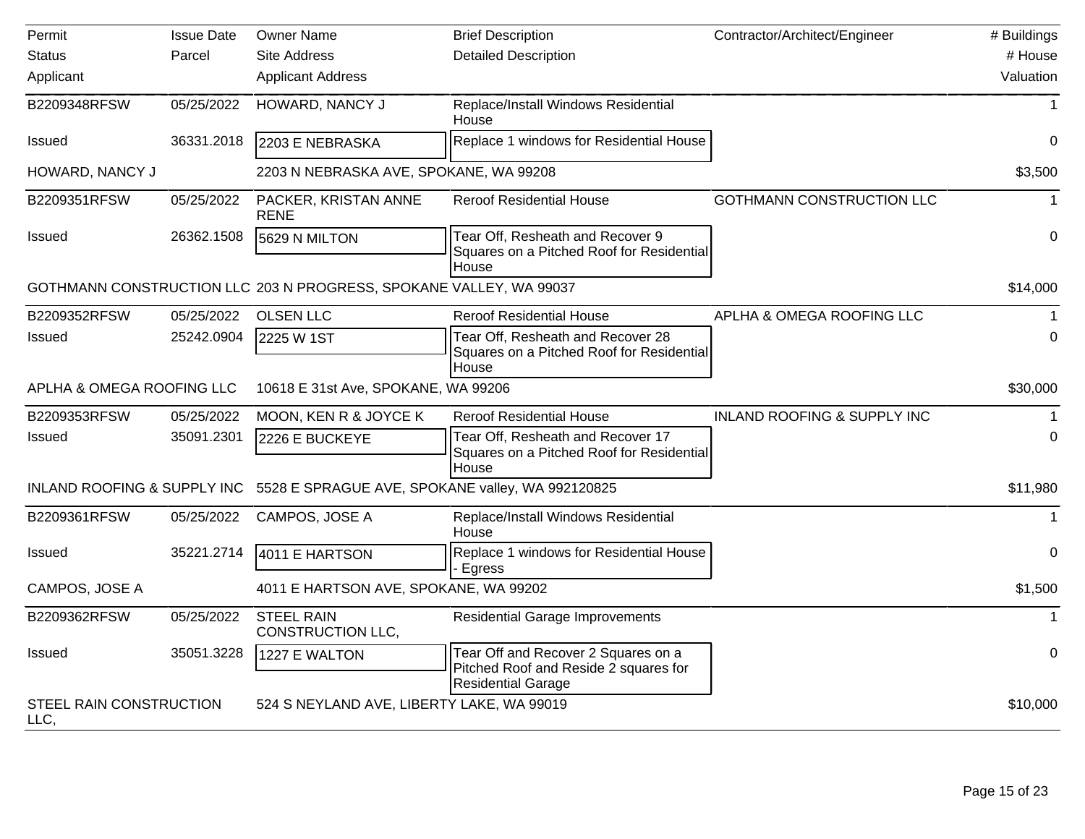| Permit                          | <b>Issue Date</b> | <b>Owner Name</b>                                                  | <b>Brief Description</b>                                                                                  | Contractor/Architect/Engineer          | # Buildings  |
|---------------------------------|-------------------|--------------------------------------------------------------------|-----------------------------------------------------------------------------------------------------------|----------------------------------------|--------------|
| <b>Status</b>                   | Parcel            | <b>Site Address</b>                                                | <b>Detailed Description</b>                                                                               |                                        | # House      |
| Applicant                       |                   | <b>Applicant Address</b>                                           |                                                                                                           |                                        | Valuation    |
| B2209348RFSW                    | 05/25/2022        | HOWARD, NANCY J                                                    | Replace/Install Windows Residential<br>House                                                              |                                        | $\mathbf{1}$ |
| <b>Issued</b>                   | 36331.2018        | 2203 E NEBRASKA                                                    | Replace 1 windows for Residential House                                                                   |                                        | 0            |
| HOWARD, NANCY J                 |                   | 2203 N NEBRASKA AVE, SPOKANE, WA 99208                             |                                                                                                           |                                        | \$3,500      |
| B2209351RFSW                    | 05/25/2022        | PACKER, KRISTAN ANNE<br><b>RENE</b>                                | <b>Reroof Residential House</b>                                                                           | GOTHMANN CONSTRUCTION LLC              | $\mathbf 1$  |
| Issued                          | 26362.1508        | 5629 N MILTON                                                      | Tear Off, Resheath and Recover 9<br>Squares on a Pitched Roof for Residential<br>House                    |                                        | 0            |
|                                 |                   | GOTHMANN CONSTRUCTION LLC 203 N PROGRESS, SPOKANE VALLEY, WA 99037 |                                                                                                           |                                        | \$14,000     |
| B2209352RFSW                    | 05/25/2022        | <b>OLSEN LLC</b>                                                   | <b>Reroof Residential House</b>                                                                           | APLHA & OMEGA ROOFING LLC              | $\mathbf 1$  |
| Issued                          | 25242.0904        | 2225 W 1ST                                                         | Tear Off, Resheath and Recover 28<br>Squares on a Pitched Roof for Residential<br>House                   |                                        | $\Omega$     |
| APLHA & OMEGA ROOFING LLC       |                   | 10618 E 31st Ave, SPOKANE, WA 99206                                |                                                                                                           |                                        | \$30,000     |
| B2209353RFSW                    | 05/25/2022        | MOON, KEN R & JOYCE K                                              | <b>Reroof Residential House</b>                                                                           | <b>INLAND ROOFING &amp; SUPPLY INC</b> |              |
| Issued                          | 35091.2301        | 2226 E BUCKEYE                                                     | Tear Off, Resheath and Recover 17<br>Squares on a Pitched Roof for Residential<br>House                   |                                        | 0            |
| INLAND ROOFING & SUPPLY INC     |                   | 5528 E SPRAGUE AVE, SPOKANE valley, WA 992120825                   |                                                                                                           |                                        | \$11,980     |
| B2209361RFSW                    | 05/25/2022        | CAMPOS, JOSE A                                                     | Replace/Install Windows Residential<br>House                                                              |                                        | $\mathbf{1}$ |
| <b>Issued</b>                   | 35221.2714        | 4011 E HARTSON                                                     | Replace 1 windows for Residential House<br>- Egress                                                       |                                        | 0            |
| CAMPOS, JOSE A                  |                   | 4011 E HARTSON AVE, SPOKANE, WA 99202                              |                                                                                                           |                                        | \$1,500      |
| B2209362RFSW                    | 05/25/2022        | <b>STEEL RAIN</b><br>CONSTRUCTION LLC,                             | <b>Residential Garage Improvements</b>                                                                    |                                        |              |
| <b>Issued</b>                   | 35051.3228        | 1227 E WALTON                                                      | Tear Off and Recover 2 Squares on a<br>Pitched Roof and Reside 2 squares for<br><b>Residential Garage</b> |                                        | 0            |
| STEEL RAIN CONSTRUCTION<br>LLC, |                   | 524 S NEYLAND AVE, LIBERTY LAKE, WA 99019                          |                                                                                                           |                                        | \$10,000     |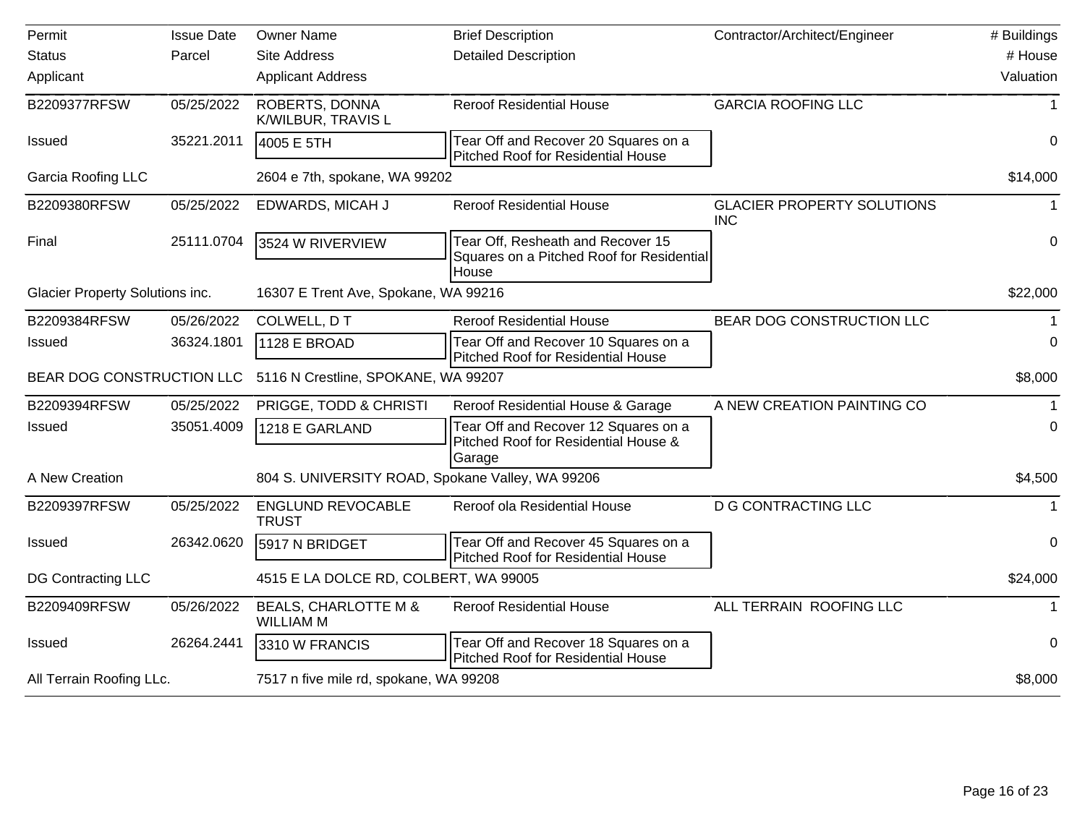| Permit                          | <b>Issue Date</b> | <b>Owner Name</b>                                   | <b>Brief Description</b>                                                                | Contractor/Architect/Engineer                   | # Buildings |
|---------------------------------|-------------------|-----------------------------------------------------|-----------------------------------------------------------------------------------------|-------------------------------------------------|-------------|
| <b>Status</b>                   | Parcel            | <b>Site Address</b>                                 | <b>Detailed Description</b>                                                             |                                                 | # House     |
| Applicant                       |                   | <b>Applicant Address</b>                            |                                                                                         |                                                 | Valuation   |
| B2209377RFSW                    | 05/25/2022        | ROBERTS, DONNA<br>K/WILBUR, TRAVIS L                | <b>Reroof Residential House</b>                                                         | <b>GARCIA ROOFING LLC</b>                       |             |
| Issued                          | 35221.2011        | 4005 E 5TH                                          | Tear Off and Recover 20 Squares on a<br><b>Pitched Roof for Residential House</b>       |                                                 | $\mathbf 0$ |
| Garcia Roofing LLC              |                   | 2604 e 7th, spokane, WA 99202                       |                                                                                         |                                                 | \$14,000    |
| B2209380RFSW                    | 05/25/2022        | EDWARDS, MICAH J                                    | <b>Reroof Residential House</b>                                                         | <b>GLACIER PROPERTY SOLUTIONS</b><br><b>INC</b> | 1           |
| Final                           | 25111.0704        | 3524 W RIVERVIEW                                    | Tear Off, Resheath and Recover 15<br>Squares on a Pitched Roof for Residential<br>House |                                                 | $\mathbf 0$ |
| Glacier Property Solutions inc. |                   | 16307 E Trent Ave, Spokane, WA 99216                |                                                                                         |                                                 | \$22,000    |
| B2209384RFSW                    | 05/26/2022        | COLWELL, DT                                         | <b>Reroof Residential House</b>                                                         | BEAR DOG CONSTRUCTION LLC                       |             |
| <b>Issued</b>                   | 36324.1801        | 1128 E BROAD                                        | Tear Off and Recover 10 Squares on a<br><b>Pitched Roof for Residential House</b>       |                                                 | 0           |
| BEAR DOG CONSTRUCTION LLC       |                   | 5116 N Crestline, SPOKANE, WA 99207                 |                                                                                         |                                                 | \$8,000     |
| B2209394RFSW                    | 05/25/2022        | PRIGGE, TODD & CHRISTI                              | Reroof Residential House & Garage                                                       | A NEW CREATION PAINTING CO                      |             |
| <b>Issued</b>                   | 35051.4009        | 1218 E GARLAND                                      | Tear Off and Recover 12 Squares on a<br>Pitched Roof for Residential House &<br>Garage  |                                                 | 0           |
| A New Creation                  |                   | 804 S. UNIVERSITY ROAD, Spokane Valley, WA 99206    |                                                                                         |                                                 | \$4,500     |
| B2209397RFSW                    | 05/25/2022        | <b>ENGLUND REVOCABLE</b><br><b>TRUST</b>            | Reroof ola Residential House                                                            | <b>D G CONTRACTING LLC</b>                      |             |
| <b>Issued</b>                   | 26342.0620        | 5917 N BRIDGET                                      | Tear Off and Recover 45 Squares on a<br>Pitched Roof for Residential House              |                                                 | 0           |
| DG Contracting LLC              |                   | 4515 E LA DOLCE RD, COLBERT, WA 99005               |                                                                                         |                                                 | \$24,000    |
| B2209409RFSW                    | 05/26/2022        | <b>BEALS, CHARLOTTE M &amp;</b><br><b>WILLIAM M</b> | <b>Reroof Residential House</b>                                                         | ALL TERRAIN ROOFING LLC                         | 1           |
| <b>Issued</b>                   | 26264.2441        | 3310 W FRANCIS                                      | Tear Off and Recover 18 Squares on a<br>Pitched Roof for Residential House              |                                                 | 0           |
| All Terrain Roofing LLc.        |                   | 7517 n five mile rd, spokane, WA 99208              |                                                                                         |                                                 | \$8,000     |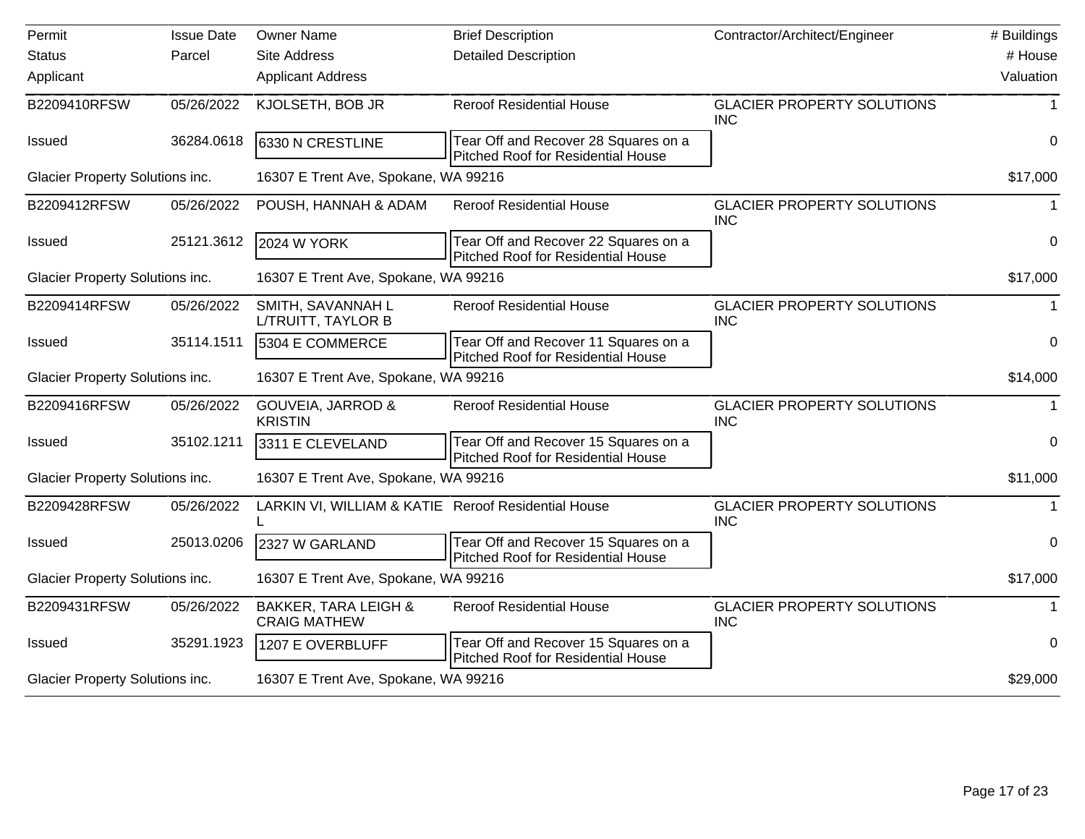| Permit                          | <b>Issue Date</b> | <b>Owner Name</b>                                      | <b>Brief Description</b>                                                          | Contractor/Architect/Engineer                   | # Buildings    |
|---------------------------------|-------------------|--------------------------------------------------------|-----------------------------------------------------------------------------------|-------------------------------------------------|----------------|
| <b>Status</b>                   | Parcel            | <b>Site Address</b>                                    | <b>Detailed Description</b>                                                       |                                                 | # House        |
| Applicant                       |                   | <b>Applicant Address</b>                               |                                                                                   |                                                 | Valuation      |
| B2209410RFSW                    | 05/26/2022        | KJOLSETH, BOB JR                                       | <b>Reroof Residential House</b>                                                   | <b>GLACIER PROPERTY SOLUTIONS</b><br><b>INC</b> |                |
| <b>Issued</b>                   | 36284.0618        | 6330 N CRESTLINE                                       | Tear Off and Recover 28 Squares on a<br>Pitched Roof for Residential House        |                                                 | 0              |
| Glacier Property Solutions inc. |                   | 16307 E Trent Ave, Spokane, WA 99216                   |                                                                                   |                                                 | \$17,000       |
| B2209412RFSW                    | 05/26/2022        | POUSH, HANNAH & ADAM                                   | <b>Reroof Residential House</b>                                                   | <b>GLACIER PROPERTY SOLUTIONS</b><br><b>INC</b> | 1              |
| <b>Issued</b>                   | 25121.3612        | <b>2024 W YORK</b>                                     | Tear Off and Recover 22 Squares on a<br><b>Pitched Roof for Residential House</b> |                                                 | $\mathbf 0$    |
| Glacier Property Solutions inc. |                   | 16307 E Trent Ave, Spokane, WA 99216                   |                                                                                   |                                                 | \$17,000       |
| B2209414RFSW                    | 05/26/2022        | SMITH, SAVANNAH L<br>L/TRUITT, TAYLOR B                | <b>Reroof Residential House</b>                                                   | <b>GLACIER PROPERTY SOLUTIONS</b><br><b>INC</b> | $\mathbf 1$    |
| <b>Issued</b>                   | 35114.1511        | 5304 E COMMERCE                                        | Tear Off and Recover 11 Squares on a<br><b>Pitched Roof for Residential House</b> |                                                 | 0              |
| Glacier Property Solutions inc. |                   | 16307 E Trent Ave, Spokane, WA 99216                   |                                                                                   |                                                 | \$14,000       |
| B2209416RFSW                    | 05/26/2022        | <b>GOUVEIA, JARROD &amp;</b><br><b>KRISTIN</b>         | <b>Reroof Residential House</b>                                                   | <b>GLACIER PROPERTY SOLUTIONS</b><br><b>INC</b> | -1             |
| <b>Issued</b>                   | 35102.1211        | 3311 E CLEVELAND                                       | Tear Off and Recover 15 Squares on a<br><b>Pitched Roof for Residential House</b> |                                                 | $\overline{0}$ |
| Glacier Property Solutions inc. |                   | 16307 E Trent Ave, Spokane, WA 99216                   |                                                                                   |                                                 | \$11,000       |
| B2209428RFSW                    | 05/26/2022        | LARKIN VI, WILLIAM & KATIE Reroof Residential House    |                                                                                   | <b>GLACIER PROPERTY SOLUTIONS</b><br><b>INC</b> |                |
| <b>Issued</b>                   | 25013.0206        | 2327 W GARLAND                                         | Tear Off and Recover 15 Squares on a<br><b>Pitched Roof for Residential House</b> |                                                 | $\mathbf 0$    |
| Glacier Property Solutions inc. |                   | 16307 E Trent Ave, Spokane, WA 99216                   |                                                                                   |                                                 | \$17,000       |
| B2209431RFSW                    | 05/26/2022        | <b>BAKKER, TARA LEIGH &amp;</b><br><b>CRAIG MATHEW</b> | <b>Reroof Residential House</b>                                                   | <b>GLACIER PROPERTY SOLUTIONS</b><br><b>INC</b> |                |
| Issued                          | 35291.1923        | 1207 E OVERBLUFF                                       | Tear Off and Recover 15 Squares on a<br>Pitched Roof for Residential House        |                                                 | 0              |
| Glacier Property Solutions inc. |                   | 16307 E Trent Ave, Spokane, WA 99216                   |                                                                                   |                                                 | \$29,000       |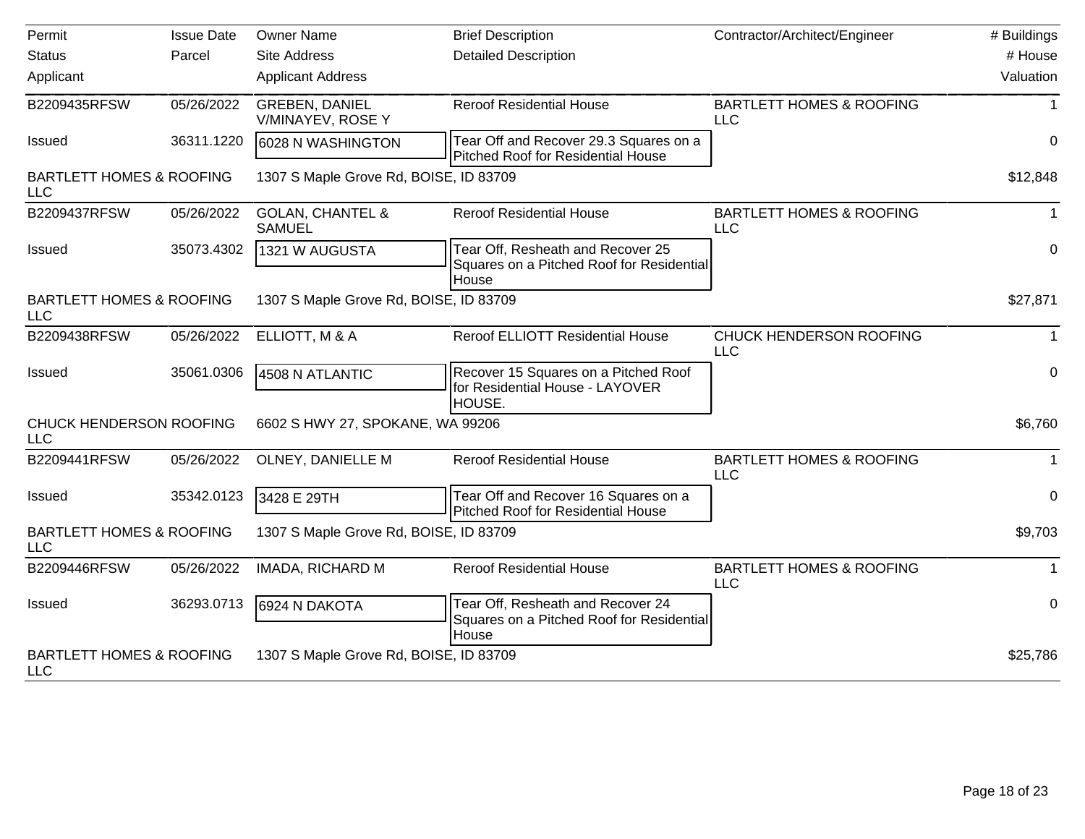| Permit                                            | <b>Issue Date</b> | <b>Owner Name</b>                            | <b>Brief Description</b>                                                                | Contractor/Architect/Engineer                     | # Buildings |
|---------------------------------------------------|-------------------|----------------------------------------------|-----------------------------------------------------------------------------------------|---------------------------------------------------|-------------|
| <b>Status</b>                                     | Parcel            | <b>Site Address</b>                          | <b>Detailed Description</b>                                                             |                                                   | # House     |
| Applicant                                         |                   | <b>Applicant Address</b>                     |                                                                                         |                                                   | Valuation   |
| B2209435RFSW                                      | 05/26/2022        | <b>GREBEN, DANIEL</b><br>V/MINAYEV, ROSE Y   | <b>Reroof Residential House</b>                                                         | <b>BARTLETT HOMES &amp; ROOFING</b><br><b>LLC</b> | 1           |
| Issued                                            | 36311.1220        | 6028 N WASHINGTON                            | Tear Off and Recover 29.3 Squares on a<br><b>Pitched Roof for Residential House</b>     |                                                   | 0           |
| <b>BARTLETT HOMES &amp; ROOFING</b><br><b>LLC</b> |                   | 1307 S Maple Grove Rd, BOISE, ID 83709       |                                                                                         |                                                   | \$12,848    |
| B2209437RFSW                                      | 05/26/2022        | <b>GOLAN, CHANTEL &amp;</b><br><b>SAMUEL</b> | <b>Reroof Residential House</b>                                                         | <b>BARTLETT HOMES &amp; ROOFING</b><br><b>LLC</b> | $\mathbf 1$ |
| <b>Issued</b>                                     | 35073.4302        | 1321 W AUGUSTA                               | Tear Off, Resheath and Recover 25<br>Squares on a Pitched Roof for Residential<br>House |                                                   | $\pmb{0}$   |
| <b>BARTLETT HOMES &amp; ROOFING</b><br><b>LLC</b> |                   | 1307 S Maple Grove Rd, BOISE, ID 83709       |                                                                                         |                                                   | \$27,871    |
| B2209438RFSW                                      | 05/26/2022        | ELLIOTT, M & A                               | <b>Reroof ELLIOTT Residential House</b>                                                 | CHUCK HENDERSON ROOFING<br><b>LLC</b>             | 1           |
| Issued                                            | 35061.0306        | 4508 N ATLANTIC                              | Recover 15 Squares on a Pitched Roof<br>for Residential House - LAYOVER<br>HOUSE.       |                                                   | 0           |
| CHUCK HENDERSON ROOFING<br><b>LLC</b>             |                   | 6602 S HWY 27, SPOKANE, WA 99206             |                                                                                         |                                                   | \$6,760     |
| B2209441RFSW                                      | 05/26/2022        | OLNEY, DANIELLE M                            | <b>Reroof Residential House</b>                                                         | <b>BARTLETT HOMES &amp; ROOFING</b><br><b>LLC</b> | 1           |
| Issued                                            | 35342.0123        | 3428 E 29TH                                  | Tear Off and Recover 16 Squares on a<br>Pitched Roof for Residential House              |                                                   | 0           |
| <b>BARTLETT HOMES &amp; ROOFING</b><br><b>LLC</b> |                   | 1307 S Maple Grove Rd, BOISE, ID 83709       |                                                                                         |                                                   | \$9,703     |
| B2209446RFSW                                      | 05/26/2022        | IMADA, RICHARD M                             | <b>Reroof Residential House</b>                                                         | <b>BARTLETT HOMES &amp; ROOFING</b><br><b>LLC</b> |             |
| <b>Issued</b>                                     | 36293.0713        | 6924 N DAKOTA                                | Tear Off, Resheath and Recover 24<br>Squares on a Pitched Roof for Residential<br>House |                                                   | 0           |
| <b>BARTLETT HOMES &amp; ROOFING</b><br><b>LLC</b> |                   | 1307 S Maple Grove Rd, BOISE, ID 83709       |                                                                                         |                                                   | \$25,786    |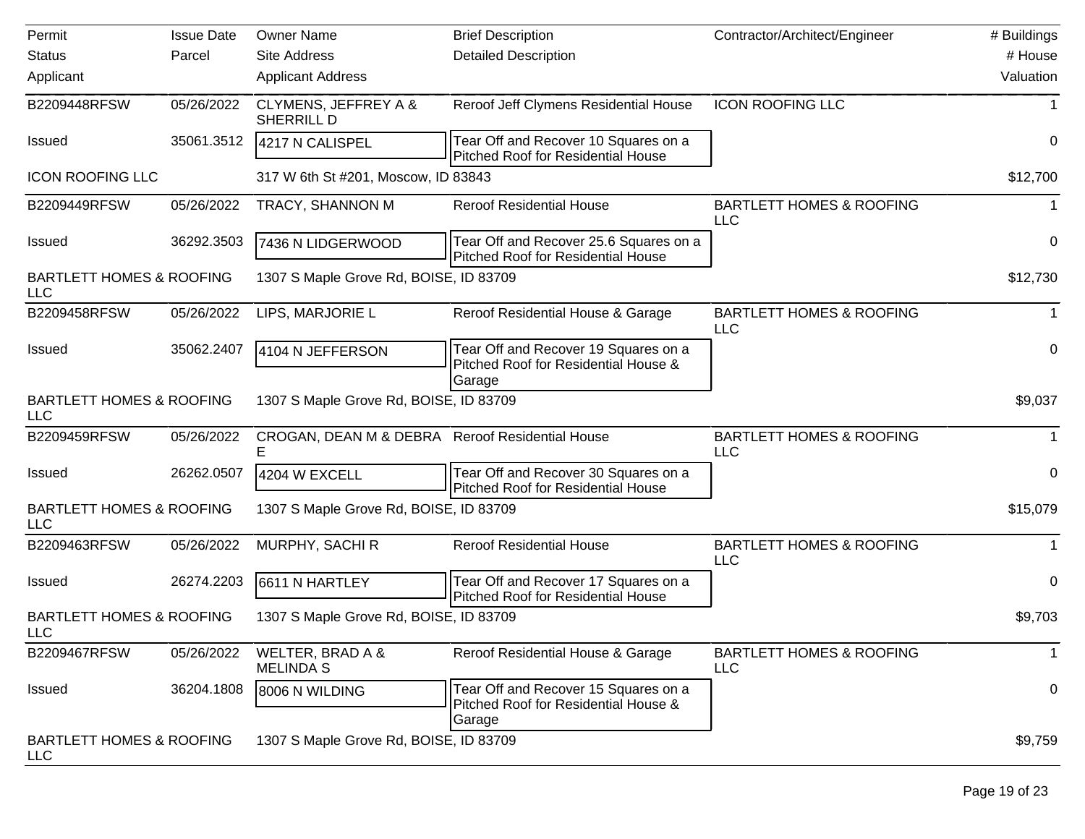| Permit                                            | <b>Issue Date</b> | <b>Owner Name</b>                                    | <b>Brief Description</b>                                                                | Contractor/Architect/Engineer                     | # Buildings  |
|---------------------------------------------------|-------------------|------------------------------------------------------|-----------------------------------------------------------------------------------------|---------------------------------------------------|--------------|
| <b>Status</b>                                     | Parcel            | Site Address                                         | <b>Detailed Description</b>                                                             |                                                   | # House      |
| Applicant                                         |                   | <b>Applicant Address</b>                             |                                                                                         |                                                   | Valuation    |
| B2209448RFSW                                      | 05/26/2022        | <b>CLYMENS, JEFFREY A &amp;</b><br>SHERRILL D        | Reroof Jeff Clymens Residential House                                                   | <b>ICON ROOFING LLC</b>                           |              |
| <b>Issued</b>                                     | 35061.3512        | 4217 N CALISPEL                                      | Tear Off and Recover 10 Squares on a<br><b>Pitched Roof for Residential House</b>       |                                                   | 0            |
| <b>ICON ROOFING LLC</b>                           |                   | 317 W 6th St #201, Moscow, ID 83843                  |                                                                                         |                                                   | \$12,700     |
| B2209449RFSW                                      | 05/26/2022        | TRACY, SHANNON M                                     | <b>Reroof Residential House</b>                                                         | <b>BARTLETT HOMES &amp; ROOFING</b><br><b>LLC</b> |              |
| <b>Issued</b>                                     | 36292.3503        | 7436 N LIDGERWOOD                                    | Tear Off and Recover 25.6 Squares on a<br><b>Pitched Roof for Residential House</b>     |                                                   | $\mathbf 0$  |
| <b>BARTLETT HOMES &amp; ROOFING</b><br><b>LLC</b> |                   | 1307 S Maple Grove Rd, BOISE, ID 83709               |                                                                                         |                                                   | \$12,730     |
| B2209458RFSW                                      | 05/26/2022        | LIPS, MARJORIE L                                     | Reroof Residential House & Garage                                                       | <b>BARTLETT HOMES &amp; ROOFING</b><br><b>LLC</b> |              |
| <b>Issued</b>                                     | 35062.2407        | 4104 N JEFFERSON                                     | Tear Off and Recover 19 Squares on a<br>Pitched Roof for Residential House &<br> Garage |                                                   | 0            |
| <b>BARTLETT HOMES &amp; ROOFING</b><br><b>LLC</b> |                   | 1307 S Maple Grove Rd, BOISE, ID 83709               |                                                                                         |                                                   | \$9,037      |
| B2209459RFSW                                      | 05/26/2022        | CROGAN, DEAN M & DEBRA Reroof Residential House<br>Е |                                                                                         | <b>BARTLETT HOMES &amp; ROOFING</b><br><b>LLC</b> |              |
| <b>Issued</b>                                     | 26262.0507        | 4204 W EXCELL                                        | Tear Off and Recover 30 Squares on a<br>Pitched Roof for Residential House              |                                                   | 0            |
| <b>BARTLETT HOMES &amp; ROOFING</b><br><b>LLC</b> |                   | 1307 S Maple Grove Rd, BOISE, ID 83709               |                                                                                         |                                                   | \$15,079     |
| B2209463RFSW                                      | 05/26/2022        | MURPHY, SACHI R                                      | <b>Reroof Residential House</b>                                                         | <b>BARTLETT HOMES &amp; ROOFING</b><br><b>LLC</b> | 1            |
| <b>Issued</b>                                     | 26274.2203        | 6611 N HARTLEY                                       | Tear Off and Recover 17 Squares on a<br><b>Pitched Roof for Residential House</b>       |                                                   | 0            |
| <b>BARTLETT HOMES &amp; ROOFING</b><br>LLC        |                   | 1307 S Maple Grove Rd, BOISE, ID 83709               |                                                                                         |                                                   | \$9,703      |
| B2209467RFSW                                      | 05/26/2022        | WELTER, BRAD A &<br><b>MELINDA S</b>                 | Reroof Residential House & Garage                                                       | <b>BARTLETT HOMES &amp; ROOFING</b><br><b>LLC</b> | $\mathbf{1}$ |
| Issued                                            | 36204.1808        | 8006 N WILDING                                       | Tear Off and Recover 15 Squares on a<br>Pitched Roof for Residential House &<br>Garage  |                                                   | 0            |
| <b>BARTLETT HOMES &amp; ROOFING</b><br>LLC        |                   | 1307 S Maple Grove Rd, BOISE, ID 83709               |                                                                                         |                                                   | \$9,759      |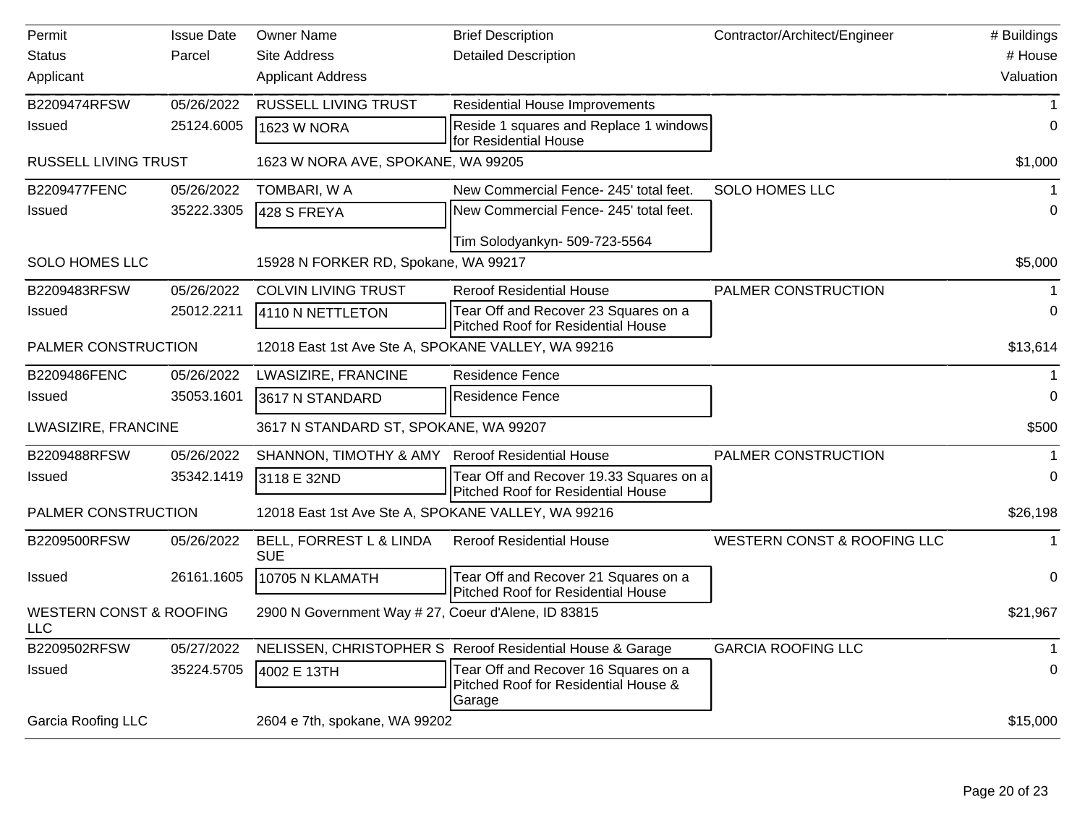| Permit                                    | <b>Issue Date</b> | <b>Owner Name</b>                                   | <b>Brief Description</b>                                                               | Contractor/Architect/Engineer | # Buildings |
|-------------------------------------------|-------------------|-----------------------------------------------------|----------------------------------------------------------------------------------------|-------------------------------|-------------|
| <b>Status</b>                             | Parcel            | <b>Site Address</b>                                 | <b>Detailed Description</b>                                                            |                               | # House     |
| Applicant                                 |                   | <b>Applicant Address</b>                            |                                                                                        |                               | Valuation   |
| B2209474RFSW                              | 05/26/2022        | <b>RUSSELL LIVING TRUST</b>                         | <b>Residential House Improvements</b>                                                  |                               | 1           |
| Issued                                    | 25124.6005        | 1623 W NORA                                         | Reside 1 squares and Replace 1 windows<br>for Residential House                        |                               | 0           |
| <b>RUSSELL LIVING TRUST</b>               |                   | 1623 W NORA AVE, SPOKANE, WA 99205                  |                                                                                        |                               | \$1,000     |
| <b>B2209477FENC</b>                       | 05/26/2022        | TOMBARI, W A                                        | New Commercial Fence- 245' total feet.                                                 | <b>SOLO HOMES LLC</b>         |             |
| Issued                                    | 35222.3305        | 428 S FREYA                                         | New Commercial Fence- 245' total feet.                                                 |                               | 0           |
|                                           |                   |                                                     | Tim Solodyankyn- 509-723-5564                                                          |                               |             |
| <b>SOLO HOMES LLC</b>                     |                   | 15928 N FORKER RD, Spokane, WA 99217                |                                                                                        |                               | \$5,000     |
| B2209483RFSW                              | 05/26/2022        | <b>COLVIN LIVING TRUST</b>                          | <b>Reroof Residential House</b>                                                        | PALMER CONSTRUCTION           |             |
| Issued                                    | 25012.2211        | 4110 N NETTLETON                                    | Tear Off and Recover 23 Squares on a<br>Pitched Roof for Residential House             |                               | $\Omega$    |
| PALMER CONSTRUCTION                       |                   | 12018 East 1st Ave Ste A, SPOKANE VALLEY, WA 99216  |                                                                                        |                               | \$13,614    |
| B2209486FENC                              | 05/26/2022        | LWASIZIRE, FRANCINE                                 | <b>Residence Fence</b>                                                                 |                               |             |
| Issued                                    | 35053.1601        | 3617 N STANDARD                                     | Residence Fence                                                                        |                               | $\Omega$    |
| LWASIZIRE, FRANCINE                       |                   | 3617 N STANDARD ST, SPOKANE, WA 99207               |                                                                                        |                               | \$500       |
| B2209488RFSW                              | 05/26/2022        | SHANNON, TIMOTHY & AMY                              | <b>Reroof Residential House</b>                                                        | PALMER CONSTRUCTION           |             |
| <b>Issued</b>                             | 35342.1419        | 3118 E 32ND                                         | Tear Off and Recover 19.33 Squares on a<br>Pitched Roof for Residential House          |                               | 0           |
| PALMER CONSTRUCTION                       |                   | 12018 East 1st Ave Ste A, SPOKANE VALLEY, WA 99216  |                                                                                        |                               | \$26,198    |
| B2209500RFSW                              | 05/26/2022        | BELL, FORREST L & LINDA<br><b>SUE</b>               | <b>Reroof Residential House</b>                                                        | WESTERN CONST & ROOFING LLC   |             |
| <b>Issued</b>                             | 26161.1605        | 10705 N KLAMATH                                     | Tear Off and Recover 21 Squares on a<br>Pitched Roof for Residential House             |                               | $\mathbf 0$ |
| <b>WESTERN CONST &amp; ROOFING</b><br>LLC |                   | 2900 N Government Way # 27, Coeur d'Alene, ID 83815 |                                                                                        |                               | \$21,967    |
| B2209502RFSW                              | 05/27/2022        |                                                     | NELISSEN, CHRISTOPHER S Reroof Residential House & Garage                              | <b>GARCIA ROOFING LLC</b>     | -1          |
| Issued                                    | 35224.5705        | 4002 E 13TH                                         | Tear Off and Recover 16 Squares on a<br>Pitched Roof for Residential House &<br>Garage |                               | $\mathbf 0$ |
| <b>Garcia Roofing LLC</b>                 |                   | 2604 e 7th, spokane, WA 99202                       |                                                                                        |                               | \$15,000    |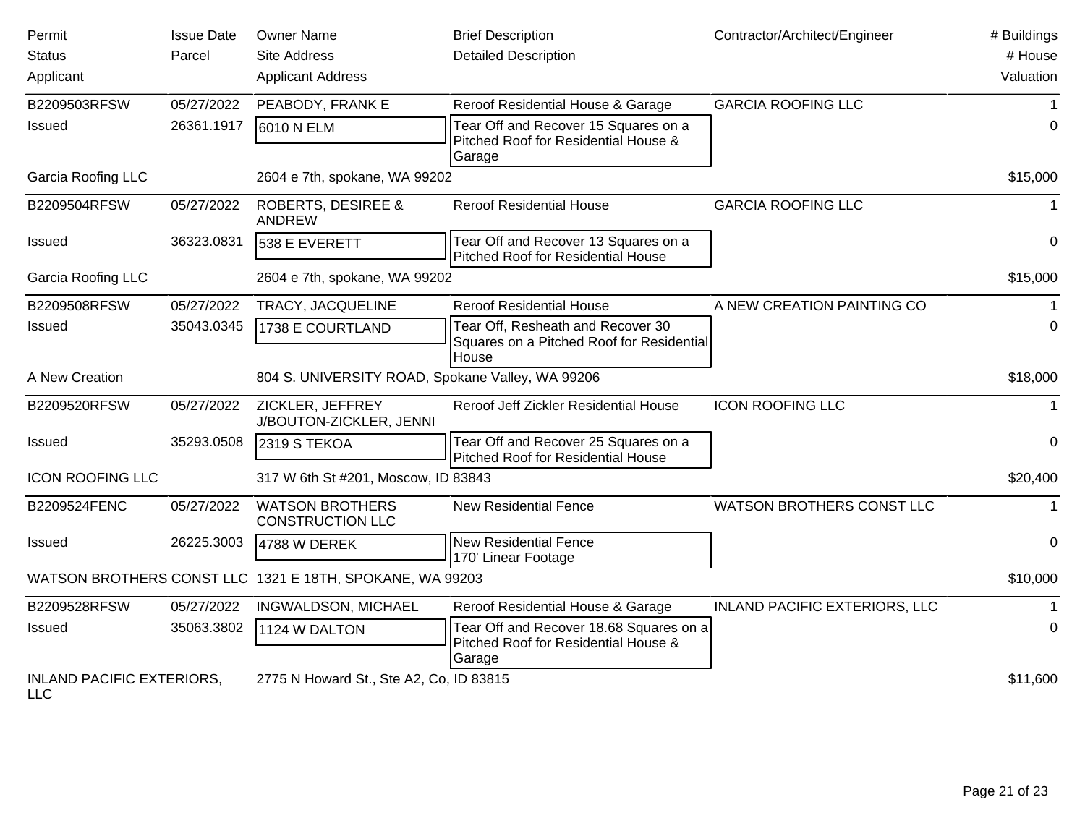| Permit                                         | <b>Issue Date</b> | <b>Owner Name</b>                                        | <b>Brief Description</b>                                                          | Contractor/Architect/Engineer | # Buildings    |
|------------------------------------------------|-------------------|----------------------------------------------------------|-----------------------------------------------------------------------------------|-------------------------------|----------------|
| <b>Status</b>                                  | Parcel            | <b>Site Address</b>                                      | <b>Detailed Description</b>                                                       |                               | # House        |
| Applicant                                      |                   | <b>Applicant Address</b>                                 |                                                                                   |                               | Valuation      |
| B2209503RFSW                                   | 05/27/2022        | PEABODY, FRANK E                                         | Reroof Residential House & Garage                                                 | <b>GARCIA ROOFING LLC</b>     |                |
| Issued                                         | 26361.1917        | 6010 N ELM                                               | Tear Off and Recover 15 Squares on a                                              |                               | $\Omega$       |
|                                                |                   |                                                          | Pitched Roof for Residential House &<br> Garage                                   |                               |                |
| <b>Garcia Roofing LLC</b>                      |                   | 2604 e 7th, spokane, WA 99202                            |                                                                                   |                               | \$15,000       |
| B2209504RFSW                                   | 05/27/2022        | <b>ROBERTS, DESIREE &amp;</b><br><b>ANDREW</b>           | <b>Reroof Residential House</b>                                                   | <b>GARCIA ROOFING LLC</b>     |                |
| Issued                                         | 36323.0831        | 538 E EVERETT                                            | Tear Off and Recover 13 Squares on a<br><b>Pitched Roof for Residential House</b> |                               | 0              |
| <b>Garcia Roofing LLC</b>                      |                   | 2604 e 7th, spokane, WA 99202                            |                                                                                   |                               | \$15,000       |
| B2209508RFSW                                   | 05/27/2022        | TRACY, JACQUELINE                                        | <b>Reroof Residential House</b>                                                   | A NEW CREATION PAINTING CO    |                |
| Issued                                         | 35043.0345        | 1738 E COURTLAND                                         | Tear Off, Resheath and Recover 30                                                 |                               | $\Omega$       |
|                                                |                   |                                                          | Squares on a Pitched Roof for Residential<br>House                                |                               |                |
| A New Creation                                 |                   | 804 S. UNIVERSITY ROAD, Spokane Valley, WA 99206         |                                                                                   |                               | \$18,000       |
| B2209520RFSW                                   | 05/27/2022        | ZICKLER, JEFFREY<br>J/BOUTON-ZICKLER, JENNI              | Reroof Jeff Zickler Residential House                                             | <b>ICON ROOFING LLC</b>       |                |
| <b>Issued</b>                                  | 35293.0508        | 2319 S TEKOA                                             | Tear Off and Recover 25 Squares on a<br>Pitched Roof for Residential House        |                               | 0              |
| <b>ICON ROOFING LLC</b>                        |                   | 317 W 6th St #201, Moscow, ID 83843                      |                                                                                   |                               | \$20,400       |
| B2209524FENC                                   | 05/27/2022        | <b>WATSON BROTHERS</b><br><b>CONSTRUCTION LLC</b>        | <b>New Residential Fence</b>                                                      | WATSON BROTHERS CONST LLC     | 1              |
| <b>Issued</b>                                  | 26225.3003        | 4788 W DEREK                                             | New Residential Fence<br>170' Linear Footage                                      |                               | $\overline{0}$ |
|                                                |                   | WATSON BROTHERS CONST LLC 1321 E 18TH, SPOKANE, WA 99203 |                                                                                   |                               | \$10,000       |
| B2209528RFSW                                   | 05/27/2022        | INGWALDSON, MICHAEL                                      | Reroof Residential House & Garage                                                 | INLAND PACIFIC EXTERIORS, LLC |                |
| Issued                                         | 35063.3802        | 1124 W DALTON                                            | Tear Off and Recover 18.68 Squares on a                                           |                               | $\Omega$       |
|                                                |                   |                                                          | Pitched Roof for Residential House &<br> Garage                                   |                               |                |
| <b>INLAND PACIFIC EXTERIORS,</b><br><b>LLC</b> |                   | 2775 N Howard St., Ste A2, Co, ID 83815                  |                                                                                   |                               | \$11,600       |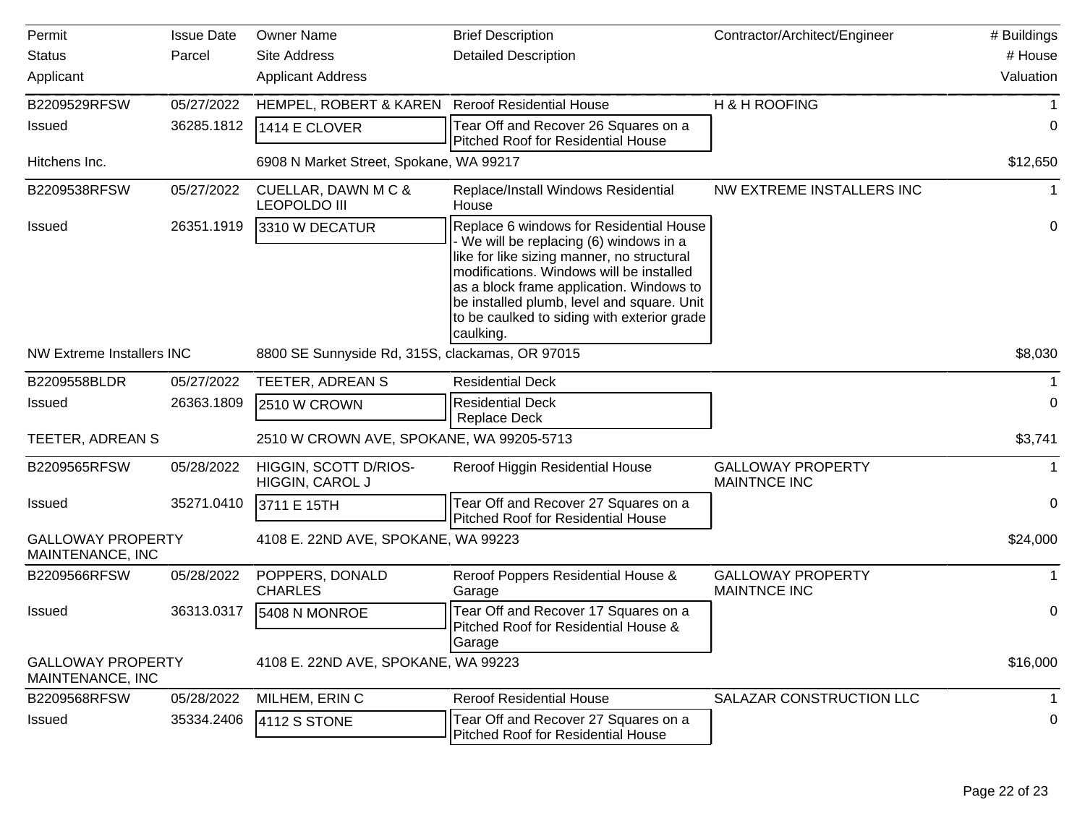| Permit                                       | <b>Issue Date</b> | <b>Owner Name</b>                               | <b>Brief Description</b>                                                                                                                                                                                                                                                                                                         | Contractor/Architect/Engineer                   | # Buildings |
|----------------------------------------------|-------------------|-------------------------------------------------|----------------------------------------------------------------------------------------------------------------------------------------------------------------------------------------------------------------------------------------------------------------------------------------------------------------------------------|-------------------------------------------------|-------------|
| <b>Status</b>                                | Parcel            | <b>Site Address</b>                             | <b>Detailed Description</b>                                                                                                                                                                                                                                                                                                      |                                                 | # House     |
| Applicant                                    |                   | <b>Applicant Address</b>                        |                                                                                                                                                                                                                                                                                                                                  |                                                 | Valuation   |
| B2209529RFSW                                 | 05/27/2022        | HEMPEL, ROBERT & KAREN Reroof Residential House |                                                                                                                                                                                                                                                                                                                                  | H & H ROOFING                                   |             |
| <b>Issued</b>                                | 36285.1812        | 1414 E CLOVER                                   | Tear Off and Recover 26 Squares on a<br><b>Pitched Roof for Residential House</b>                                                                                                                                                                                                                                                |                                                 | 0           |
| Hitchens Inc.                                |                   | 6908 N Market Street, Spokane, WA 99217         |                                                                                                                                                                                                                                                                                                                                  |                                                 | \$12,650    |
| B2209538RFSW                                 | 05/27/2022        | CUELLAR, DAWN M C &<br><b>LEOPOLDO III</b>      | Replace/Install Windows Residential<br>House                                                                                                                                                                                                                                                                                     | NW EXTREME INSTALLERS INC                       |             |
| <b>Issued</b>                                | 26351.1919        | 3310 W DECATUR                                  | Replace 6 windows for Residential House<br>We will be replacing (6) windows in a<br>like for like sizing manner, no structural<br>modifications. Windows will be installed<br>as a block frame application. Windows to<br>be installed plumb, level and square. Unit<br>to be caulked to siding with exterior grade<br>caulking. |                                                 | 0           |
| <b>NW Extreme Installers INC</b>             |                   | 8800 SE Sunnyside Rd, 315S, clackamas, OR 97015 |                                                                                                                                                                                                                                                                                                                                  |                                                 | \$8,030     |
| B2209558BLDR                                 | 05/27/2022        | TEETER, ADREAN S                                | <b>Residential Deck</b>                                                                                                                                                                                                                                                                                                          |                                                 |             |
| <b>Issued</b>                                | 26363.1809        | 2510 W CROWN                                    | <b>Residential Deck</b><br><b>Replace Deck</b>                                                                                                                                                                                                                                                                                   |                                                 | 0           |
| TEETER, ADREAN S                             |                   | 2510 W CROWN AVE, SPOKANE, WA 99205-5713        |                                                                                                                                                                                                                                                                                                                                  |                                                 | \$3,741     |
| B2209565RFSW                                 | 05/28/2022        | HIGGIN, SCOTT D/RIOS-<br>HIGGIN, CAROL J        | Reroof Higgin Residential House                                                                                                                                                                                                                                                                                                  | <b>GALLOWAY PROPERTY</b><br><b>MAINTNCE INC</b> |             |
| <b>Issued</b>                                | 35271.0410        | 3711 E 15TH                                     | Tear Off and Recover 27 Squares on a<br>Pitched Roof for Residential House                                                                                                                                                                                                                                                       |                                                 | 0           |
| <b>GALLOWAY PROPERTY</b><br>MAINTENANCE, INC |                   | 4108 E. 22ND AVE, SPOKANE, WA 99223             |                                                                                                                                                                                                                                                                                                                                  |                                                 | \$24,000    |
| B2209566RFSW                                 | 05/28/2022        | POPPERS, DONALD<br><b>CHARLES</b>               | Reroof Poppers Residential House &<br>Garage                                                                                                                                                                                                                                                                                     | <b>GALLOWAY PROPERTY</b><br><b>MAINTNCE INC</b> |             |
| <b>Issued</b>                                | 36313.0317        | 5408 N MONROE                                   | Tear Off and Recover 17 Squares on a<br>Pitched Roof for Residential House &<br> Garage                                                                                                                                                                                                                                          |                                                 | 0           |
| <b>GALLOWAY PROPERTY</b><br>MAINTENANCE, INC |                   | 4108 E. 22ND AVE, SPOKANE, WA 99223             |                                                                                                                                                                                                                                                                                                                                  |                                                 | \$16,000    |
| B2209568RFSW                                 | 05/28/2022        | MILHEM, ERIN C                                  | <b>Reroof Residential House</b>                                                                                                                                                                                                                                                                                                  | SALAZAR CONSTRUCTION LLC                        |             |
| Issued                                       | 35334.2406        | <b>4112 S STONE</b>                             | Tear Off and Recover 27 Squares on a<br>Pitched Roof for Residential House                                                                                                                                                                                                                                                       |                                                 | 0           |